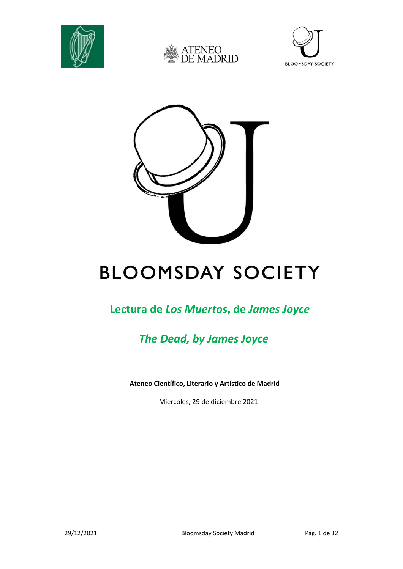







# **BLOOMSDAY SOCIETY**

### **Lectura de** *Los Muertos***, de** *James Joyce*

## *The Dead, by James Joyce*

 **Ateneo Científico, Literario y Artístico de Madrid**

Miércoles, 29 de diciembre 2021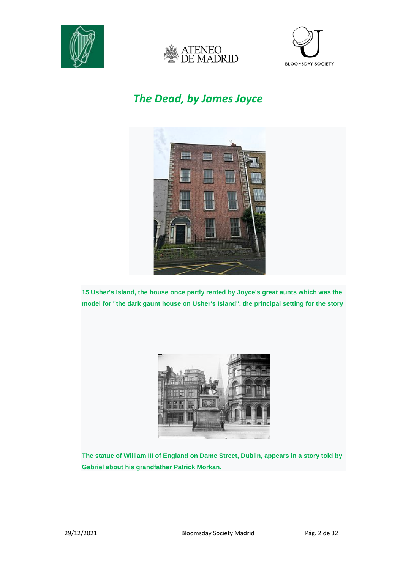





## *The Dead, by James Joyce*



**15 Usher's Island, the house once partly rented by Joyce's great aunts which was the model for "the dark gaunt house on Usher's Island", the principal setting for the story**



**The statue of [William III of England](https://en.wikipedia.org/wiki/William_III_of_England) on [Dame Street,](https://en.wikipedia.org/wiki/Dame_Street) Dublin, appears in a story told by Gabriel about his grandfather Patrick Morkan.**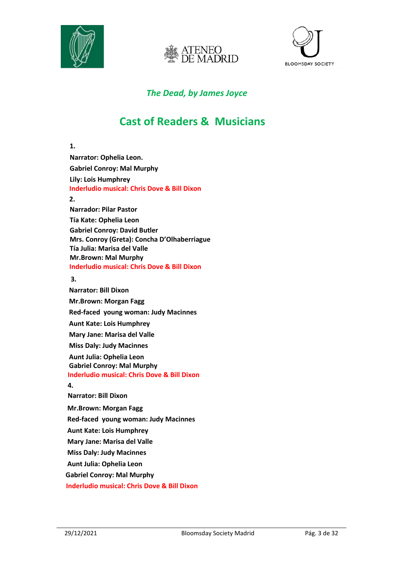





### *The Dead, by James Joyce*

### **Cast of Readers & Musicians**

**1. Narrator: Ophelia Leon. Gabriel Conroy: Mal Murphy Lily: Lois Humphrey Inderludio musical: Chris Dove & Bill Dixon 2. Narrador: Pilar Pastor Tía Kate: Ophelia Leon Gabriel Conroy: David Butler Mrs. Conroy (Greta): Concha D'Olhaberriague Tía Julia: Marisa del Valle Mr.Brown: Mal Murphy Inderludio musical: Chris Dove & Bill Dixon**

 **3.**

 **Narrator: Bill Dixon Mr.Brown: Morgan Fagg Red-faced young woman: Judy Macinnes Aunt Kate: Lois Humphrey Mary Jane: Marisa del Valle Miss Daly: Judy Macinnes Aunt Julia: Ophelia Leon Gabriel Conroy: Mal Murphy Inderludio musical: Chris Dove & Bill Dixon 4. Narrator: Bill Dixon Mr.Brown: Morgan Fagg Red-faced young woman: Judy Macinnes Aunt Kate: Lois Humphrey Mary Jane: Marisa del Valle Miss Daly: Judy Macinnes**

**Aunt Julia: Ophelia Leon**

**Gabriel Conroy: Mal Murphy**

 **Inderludio musical: Chris Dove & Bill Dixon**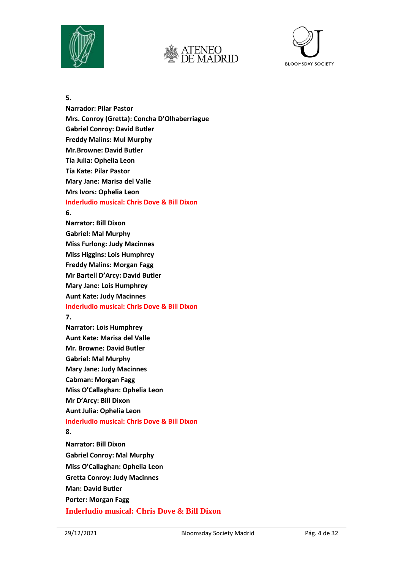





**5.**

**Narrador: Pilar Pastor Mrs. Conroy (Gretta): Concha D'Olhaberriague Gabriel Conroy: David Butler Freddy Malins: Mul Murphy Mr.Browne: David Butler Tía Julia: Ophelia Leon Tía Kate: Pilar Pastor Mary Jane: Marisa del Valle Mrs Ivors: Ophelia Leon Inderludio musical: Chris Dove & Bill Dixon 6. Narrator: Bill Dixon Gabriel: Mal Murphy Miss Furlong: Judy Macinnes Miss Higgins: Lois Humphrey Freddy Malins: Morgan Fagg Mr Bartell D'Arcy: David Butler Mary Jane: Lois Humphrey Aunt Kate: Judy Macinnes Inderludio musical: Chris Dove & Bill Dixon 7. Narrator: Lois Humphrey Aunt Kate: Marisa del Valle Mr. Browne: David Butler Gabriel: Mal Murphy Mary Jane: Judy Macinnes Cabman: Morgan Fagg Miss O'Callaghan: Ophelia Leon Mr D'Arcy: Bill Dixon Aunt Julia: Ophelia Leon Inderludio musical: Chris Dove & Bill Dixon 8. Narrator: Bill Dixon Gabriel Conroy: Mal Murphy Miss O'Callaghan: Ophelia Leon Gretta Conroy: Judy Macinnes Man: David Butler Porter: Morgan Fagg**

**Inderludio musical: Chris Dove & Bill Dixon**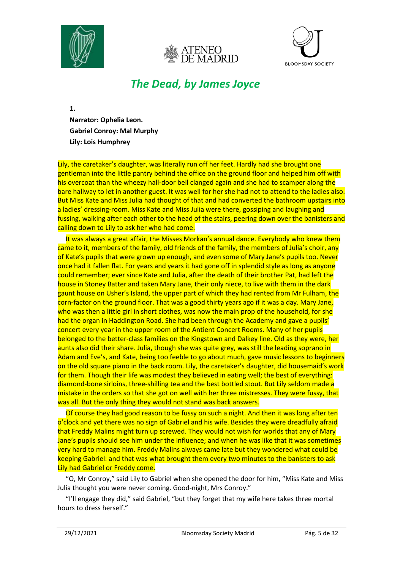





### *The Dead, by James Joyce*

**1. Narrator: Ophelia Leon. Gabriel Conroy: Mal Murphy Lily: Lois Humphrey**

Lily, the caretaker's daughter, was literally run off her feet. Hardly had she brought one gentleman into the little pantry behind the office on the ground floor and helped him off with his overcoat than the wheezy hall-door bell clanged again and she had to scamper along the bare hallway to let in another guest. It was well for her she had not to attend to the ladies also. But Miss Kate and Miss Julia had thought of that and had converted the bathroom upstairs into a ladies' dressing-room. Miss Kate and Miss Julia were there, gossiping and laughing and fussing, walking after each other to the head of the stairs, peering down over the banisters and calling down to Lily to ask her who had come.

It was always a great affair, the Misses Morkan's annual dance. Everybody who knew them came to it, members of the family, old friends of the family, the members of Julia's choir, any of Kate's pupils that were grown up enough, and even some of Mary Jane's pupils too. Never once had it fallen flat. For years and years it had gone off in splendid style as long as anyone could remember; ever since Kate and Julia, after the death of their brother Pat, had left the house in Stoney Batter and taken Mary Jane, their only niece, to live with them in the dark gaunt house on Usher's Island, the upper part of which they had rented from Mr Fulham, the corn-factor on the ground floor. That was a good thirty years ago if it was a day. Mary Jane, who was then a little girl in short clothes, was now the main prop of the household, for she had the organ in Haddington Road. She had been through the Academy and gave a pupils' concert every year in the upper room of the Antient Concert Rooms. Many of her pupils belonged to the better-class families on the Kingstown and Dalkey line. Old as they were, her aunts also did their share. Julia, though she was quite grey, was still the leading soprano in Adam and Eve's, and Kate, being too feeble to go about much, gave music lessons to beginners on the old square piano in the back room. Lily, the caretaker's daughter, did housemaid's work for them. Though their life was modest they believed in eating well; the best of everything: diamond-bone sirloins, three-shilling tea and the best bottled stout. But Lily seldom made a mistake in the orders so that she got on well with her three mistresses. They were fussy, that was all. But the only thing they would not stand was back answers.

Of course they had good reason to be fussy on such a night. And then it was long after ten o'clock and yet there was no sign of Gabriel and his wife. Besides they were dreadfully afraid that Freddy Malins might turn up screwed. They would not wish for worlds that any of Mary Jane's pupils should see him under the influence; and when he was like that it was sometimes very hard to manage him. Freddy Malins always came late but they wondered what could be keeping Gabriel: and that was what brought them every two minutes to the banisters to ask Lily had Gabriel or Freddy come.

"O, Mr Conroy," said Lily to Gabriel when she opened the door for him, "Miss Kate and Miss Julia thought you were never coming. Good-night, Mrs Conroy."

"I'll engage they did," said Gabriel, "but they forget that my wife here takes three mortal hours to dress herself."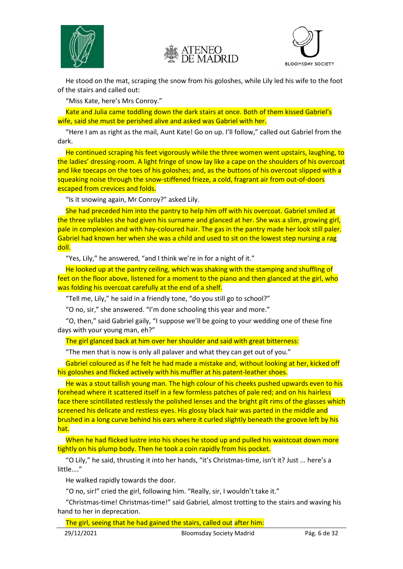





He stood on the mat, scraping the snow from his goloshes, while Lily led his wife to the foot of the stairs and called out:

"Miss Kate, here's Mrs Conroy."

Kate and Julia came toddling down the dark stairs at once. Both of them kissed Gabriel's wife, said she must be perished alive and asked was Gabriel with her.

"Here I am as right as the mail, Aunt Kate! Go on up. I'll follow," called out Gabriel from the dark.

He continued scraping his feet vigorously while the three women went upstairs, laughing, to the ladies' dressing-room. A light fringe of snow lay like a cape on the shoulders of his overcoat and like toecaps on the toes of his goloshes; and, as the buttons of his overcoat slipped with a squeaking noise through the snow-stiffened frieze, a cold, fragrant air from out-of-doors escaped from crevices and folds.

"Is it snowing again, Mr Conroy?" asked Lily.

She had preceded him into the pantry to help him off with his overcoat. Gabriel smiled at the three syllables she had given his surname and glanced at her. She was a slim, growing girl, pale in complexion and with hay-coloured hair. The gas in the pantry made her look still paler. Gabriel had known her when she was a child and used to sit on the lowest step nursing a rag doll.

"Yes, Lily," he answered, "and I think we're in for a night of it."

He looked up at the pantry ceiling, which was shaking with the stamping and shuffling of feet on the floor above, listened for a moment to the piano and then glanced at the girl, who was folding his overcoat carefully at the end of a shelf.

"Tell me, Lily," he said in a friendly tone, "do you still go to school?"

"O no, sir," she answered. "I'm done schooling this year and more."

"O, then," said Gabriel gaily, "I suppose we'll be going to your wedding one of these fine days with your young man, eh?"

The girl glanced back at him over her shoulder and said with great bitterness:

"The men that is now is only all palaver and what they can get out of you."

Gabriel coloured as if he felt he had made a mistake and, without looking at her, kicked off his goloshes and flicked actively with his muffler at his patent-leather shoes.

He was a stout tallish young man. The high colour of his cheeks pushed upwards even to his forehead where it scattered itself in a few formless patches of pale red; and on his hairless face there scintillated restlessly the polished lenses and the bright gilt rims of the glasses which screened his delicate and restless eyes. His glossy black hair was parted in the middle and brushed in a long curve behind his ears where it curled slightly beneath the groove left by his hat.

When he had flicked lustre into his shoes he stood up and pulled his waistcoat down more tightly on his plump body. Then he took a coin rapidly from his pocket.

"O Lily," he said, thrusting it into her hands, "it's Christmas-time, isn't it? Just ... here's a little...."

He walked rapidly towards the door.

"O no, sir!" cried the girl, following him. "Really, sir, I wouldn't take it."

"Christmas-time! Christmas-time!" said Gabriel, almost trotting to the stairs and waving his hand to her in deprecation.

The girl, seeing that he had gained the stairs, called out after him: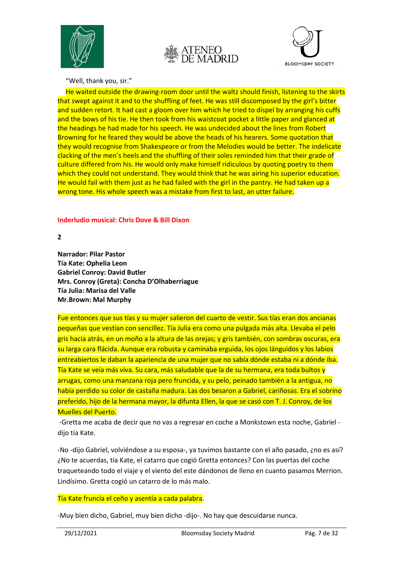





"Well, thank you, sir."

He waited outside the drawing-room door until the waltz should finish, listening to the skirts that swept against it and to the shuffling of feet. He was still discomposed by the girl's bitter and sudden retort. It had cast a gloom over him which he tried to dispel by arranging his cuffs and the bows of his tie. He then took from his waistcoat pocket a little paper and glanced at the headings he had made for his speech. He was undecided about the lines from Robert Browning for he feared they would be above the heads of his hearers. Some quotation that they would recognise from Shakespeare or from the Melodies would be better. The indelicate clacking of the men's heels and the shuffling of their soles reminded him that their grade of culture differed from his. He would only make himself ridiculous by quoting poetry to them which they could not understand. They would think that he was airing his superior education. He would fail with them just as he had failed with the girl in the pantry. He had taken up a wrong tone. His whole speech was a mistake from first to last, an utter failure.

#### **Inderludio musical: Chris Dove & Bill Dixon**

**2**

**Narrador: Pilar Pastor Tía Kate: Ophelia Leon Gabriel Conroy: David Butler Mrs. Conroy (Greta): Concha D'Olhaberriague Tía Julia: Marisa del Valle Mr.Brown: Mal Murphy**

Fue entonces que sus tías y su mujer salieron del cuarto de vestir. Sus tías eran dos ancianas pequeñas que vestían con sencillez. Tía Julia era como una pulgada más alta. Llevaba el pelo gris hacia atrás, en un moño a la altura de las orejas; y gris también, con sombras oscuras, era su larga cara flácida. Aunque era robusta y caminaba erguida, los ojos lánguidos y los labios entreabiertos le daban la apariencia de una mujer que no sabía dónde estaba ni a dónde iba. Tía Kate se veía más viva. Su cara, más saludable que la de su hermana, era toda bultos y arrugas, como una manzana roja pero fruncida, y su pelo, peinado también a la antigua, no había perdido su color de castaña madura. Las dos besaron a Gabriel, cariñosas. Era el sobrino preferido, hijo de la hermana mayor, la difunta Ellen, la que se casó con T. J. Conroy, de los Muelles del Puerto.

-Gretta me acaba de decir que no vas a regresar en coche a Monkstown esta noche, Gabriel dijo tía Kate.

-No -dijo Gabriel, volviéndose a su esposa-, ya tuvimos bastante con el año pasado, ¿no es así? ¿No te acuerdas, tía Kate, el catarro que cogió Gretta entonces? Con las puertas del coche traqueteando todo el viaje y el viento del este dándonos de lleno en cuanto pasamos Merrion. Lindísimo. Gretta cogió un catarro de lo más malo.

Tía Kate fruncía el ceño y asentía a cada palabra.

-Muy bien dicho, Gabriel, muy bien dicho -dijo-. No hay que descuidarse nunca.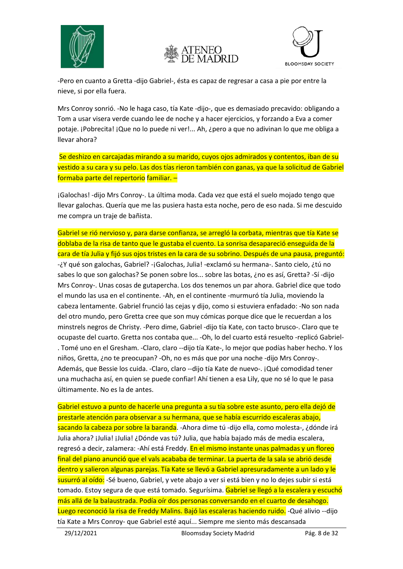





-Pero en cuanto a Gretta -dijo Gabriel-, ésta es capaz de regresar a casa a pie por entre la nieve, si por ella fuera.

Mrs Conroy sonrió. -No le haga caso, tía Kate -dijo-, que es demasiado precavido: obligando a Tom a usar visera verde cuando lee de noche y a hacer ejercicios, y forzando a Eva a comer potaje. ¡Pobrecita! ¡Que no lo puede ni ver!... Ah, ¿pero a que no adivinan lo que me obliga a llevar ahora?

Se deshizo en carcajadas mirando a su marido, cuyos ojos admirados y contentos, iban de su vestido a su cara y su pelo. Las dos tías rieron también con ganas, ya que la solicitud de Gabriel formaba parte del repertorio familiar. –

¡Galochas! -dijo Mrs Conroy-. La última moda. Cada vez que está el suelo mojado tengo que llevar galochas. Quería que me las pusiera hasta esta noche, pero de eso nada. Si me descuido me compra un traje de bañista.

Gabriel se rió nervioso y, para darse confianza, se arregló la corbata, mientras que tía Kate se doblaba de la risa de tanto que le gustaba el cuento. La sonrisa desapareció enseguida de la cara de tía Julia y fijó sus ojos tristes en la cara de su sobrino. Después de una pausa, preguntó: -¿Y qué son galochas, Gabriel? -¡Galochas, Julia! -exclamó su hermana-. Santo cielo, ¿tú no sabes lo que son galochas? Se ponen sobre los... sobre las botas, ¿no es así, Gretta? -Sí -dijo Mrs Conroy-. Unas cosas de gutapercha. Los dos tenemos un par ahora. Gabriel dice que todo el mundo las usa en el continente. -Ah, en el continente -murmuró tía Julia, moviendo la cabeza lentamente. Gabriel frunció las cejas y dijo, como si estuviera enfadado: -No son nada del otro mundo, pero Gretta cree que son muy cómicas porque dice que le recuerdan a los minstrels negros de Christy. -Pero dime, Gabriel -dijo tía Kate, con tacto brusco-. Claro que te ocupaste del cuarto. Gretta nos contaba que... -Oh, lo del cuarto está resuelto -replicó Gabriel- . Tomé uno en el Gresham. -Claro, claro --dijo tía Kate-, lo mejor que podías haber hecho. Y los niños, Gretta, ¿no te preocupan? -Oh, no es más que por una noche -dijo Mrs Conroy-. Además, que Bessie los cuida. -Claro, claro --dijo tía Kate de nuevo-. ¡Qué comodidad tener una muchacha así, en quien se puede confiar! Ahí tienen a esa Lily, que no sé lo que le pasa últimamente. No es la de antes.

Gabriel estuvo a punto de hacerle una pregunta a su tía sobre este asunto, pero ella dejó de prestarle atención para observar a su hermana, que se había escurrido escaleras abajo, sacando la cabeza por sobre la baranda. -Ahora dime tú -dijo ella, como molesta-, ¿dónde irá Julia ahora? ¡Julia! ¡Julia! ¿Dónde vas tú? Julia, que había bajado más de media escalera, regresó a decir, zalamera: -Ahí está Freddy. En el mismo instante unas palmadas y un floreo final del piano anunció que el vals acababa de terminar. La puerta de la sala se abrió desde dentro y salieron algunas parejas. Tía Kate se llevó a Gabriel apresuradamente a un lado y le susurró al oído: -Sé bueno, Gabriel, y vete abajo a ver si está bien y no lo dejes subir si está tomado. Estoy segura de que está tomado. Segurísima. Gabriel se llegó a la escalera y escuchó más allá de la balaustrada. Podía oír dos personas conversando en el cuarto de desahogo. Luego reconoció la risa de Freddy Malins. Bajó las escaleras haciendo ruido. -Qué alivio --dijo tía Kate a Mrs Conroy- que Gabriel esté aquí... Siempre me siento más descansada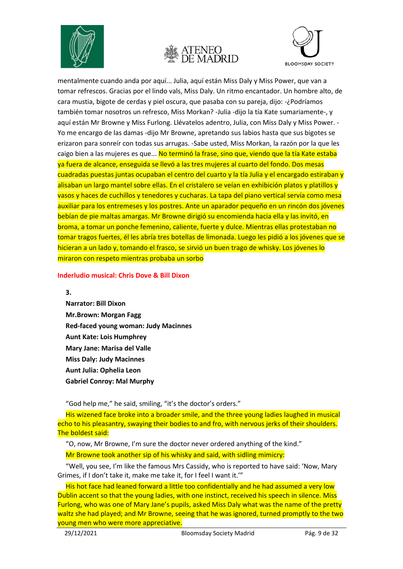





mentalmente cuando anda por aquí... Julia, aquí están Miss Daly y Miss Power, que van a tomar refrescos. Gracias por el lindo vals, Miss Daly. Un ritmo encantador. Un hombre alto, de cara mustia, bigote de cerdas y piel oscura, que pasaba con su pareja, dijo: -¿Podríamos también tomar nosotros un refresco, Miss Morkan? -Julia -dijo la tía Kate sumariamente-, y aquí están Mr Browne y Miss Furlong. Llévatelos adentro, Julia, con Miss Daly y Miss Power. - Yo me encargo de las damas -dijo Mr Browne, apretando sus labios hasta que sus bigotes se erizaron para sonreír con todas sus arrugas. -Sabe usted, Miss Morkan, la razón por la que les caigo bien a las mujeres es que... No terminó la frase, sino que, viendo que la tía Kate estaba ya fuera de alcance, enseguida se llevó a las tres mujeres al cuarto del fondo. Dos mesas cuadradas puestas juntas ocupaban el centro del cuarto y la tía Julia y el encargado estiraban y alisaban un largo mantel sobre ellas. En el cristalero se veían en exhibición platos y platillos y vasos y haces de cuchillos y tenedores y cucharas. La tapa del piano vertical servía como mesa auxiliar para los entremeses y los postres. Ante un aparador pequeño en un rincón dos jóvenes bebían de pie maltas amargas. Mr Browne dirigió su encomienda hacia ella y las invitó, en broma, a tomar un ponche femenino, caliente, fuerte y dulce. Mientras ellas protestaban no tomar tragos fuertes, él les abría tres botellas de limonada. Luego les pidió a los jóvenes que se hicieran a un lado y, tomando el frasco, se sirvió un buen trago de whisky. Los jóvenes lo miraron con respeto mientras probaba un sorbo

#### **Inderludio musical: Chris Dove & Bill Dixon**

**3.**

**Narrator: Bill Dixon Mr.Brown: Morgan Fagg Red-faced young woman: Judy Macinnes Aunt Kate: Lois Humphrey Mary Jane: Marisa del Valle Miss Daly: Judy Macinnes Aunt Julia: Ophelia Leon Gabriel Conroy: Mal Murphy**

"God help me," he said, smiling, "it's the doctor's orders."

His wizened face broke into a broader smile, and the three young ladies laughed in musical echo to his pleasantry, swaying their bodies to and fro, with nervous jerks of their shoulders. The boldest said:

"O, now, Mr Browne, I'm sure the doctor never ordered anything of the kind."

Mr Browne took another sip of his whisky and said, with sidling mimicry:

"Well, you see, I'm like the famous Mrs Cassidy, who is reported to have said: 'Now, Mary Grimes, if I don't take it, make me take it, for I feel I want it.'"

His hot face had leaned forward a little too confidentially and he had assumed a very low Dublin accent so that the young ladies, with one instinct, received his speech in silence. Miss Furlong, who was one of Mary Jane's pupils, asked Miss Daly what was the name of the pretty waltz she had played; and Mr Browne, seeing that he was ignored, turned promptly to the two young men who were more appreciative.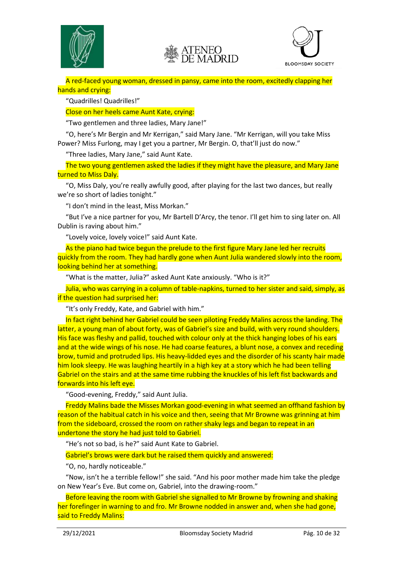





A red-faced young woman, dressed in pansy, came into the room, excitedly clapping her hands and crying:

"Quadrilles! Quadrilles!"

Close on her heels came Aunt Kate, crying:

"Two gentlemen and three ladies, Mary Jane!"

"O, here's Mr Bergin and Mr Kerrigan," said Mary Jane. "Mr Kerrigan, will you take Miss Power? Miss Furlong, may I get you a partner, Mr Bergin. O, that'll just do now."

"Three ladies, Mary Jane," said Aunt Kate.

The two young gentlemen asked the ladies if they might have the pleasure, and Mary Jane turned to Miss Daly.

"O, Miss Daly, you're really awfully good, after playing for the last two dances, but really we're so short of ladies tonight."

"I don't mind in the least, Miss Morkan."

"But I've a nice partner for you, Mr Bartell D'Arcy, the tenor. I'll get him to sing later on. All Dublin is raving about him."

"Lovely voice, lovely voice!" said Aunt Kate.

As the piano had twice begun the prelude to the first figure Mary Jane led her recruits quickly from the room. They had hardly gone when Aunt Julia wandered slowly into the room, looking behind her at something.

"What is the matter, Julia?" asked Aunt Kate anxiously. "Who is it?"

Julia, who was carrying in a column of table-napkins, turned to her sister and said, simply, as if the question had surprised her:

"It's only Freddy, Kate, and Gabriel with him."

In fact right behind her Gabriel could be seen piloting Freddy Malins across the landing. The latter, a young man of about forty, was of Gabriel's size and build, with very round shoulders. His face was fleshy and pallid, touched with colour only at the thick hanging lobes of his ears and at the wide wings of his nose. He had coarse features, a blunt nose, a convex and receding brow, tumid and protruded lips. His heavy-lidded eyes and the disorder of his scanty hair made him look sleepy. He was laughing heartily in a high key at a story which he had been telling Gabriel on the stairs and at the same time rubbing the knuckles of his left fist backwards and forwards into his left eye.

"Good-evening, Freddy," said Aunt Julia.

Freddy Malins bade the Misses Morkan good-evening in what seemed an offhand fashion by reason of the habitual catch in his voice and then, seeing that Mr Browne was grinning at him from the sideboard, crossed the room on rather shaky legs and began to repeat in an undertone the story he had just told to Gabriel.

"He's not so bad, is he?" said Aunt Kate to Gabriel.

Gabriel's brows were dark but he raised them quickly and answered:

"O, no, hardly noticeable."

"Now, isn't he a terrible fellow!" she said. "And his poor mother made him take the pledge on New Year's Eve. But come on, Gabriel, into the drawing-room."

Before leaving the room with Gabriel she signalled to Mr Browne by frowning and shaking her forefinger in warning to and fro. Mr Browne nodded in answer and, when she had gone, said to Freddy Malins: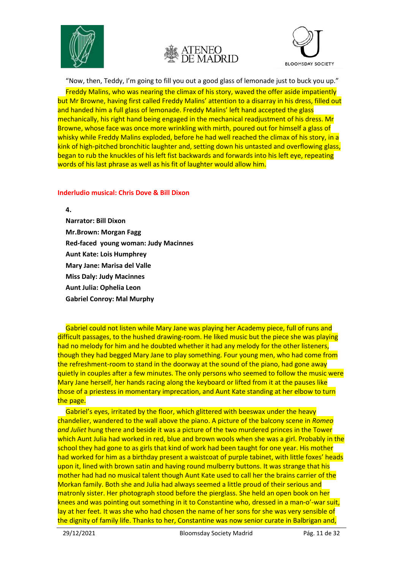





"Now, then, Teddy, I'm going to fill you out a good glass of lemonade just to buck you up." Freddy Malins, who was nearing the climax of his story, waved the offer aside impatiently but Mr Browne, having first called Freddy Malins' attention to a disarray in his dress, filled out and handed him a full glass of lemonade. Freddy Malins' left hand accepted the glass mechanically, his right hand being engaged in the mechanical readjustment of his dress. Mr Browne, whose face was once more wrinkling with mirth, poured out for himself a glass of whisky while Freddy Malins exploded, before he had well reached the climax of his story, in a kink of high-pitched bronchitic laughter and, setting down his untasted and overflowing glass, began to rub the knuckles of his left fist backwards and forwards into his left eye, repeating words of his last phrase as well as his fit of laughter would allow him.

#### **Inderludio musical: Chris Dove & Bill Dixon**

#### **4.**

**Narrator: Bill Dixon Mr.Brown: Morgan Fagg Red-faced young woman: Judy Macinnes Aunt Kate: Lois Humphrey Mary Jane: Marisa del Valle Miss Daly: Judy Macinnes Aunt Julia: Ophelia Leon Gabriel Conroy: Mal Murphy**

Gabriel could not listen while Mary Jane was playing her Academy piece, full of runs and difficult passages, to the hushed drawing-room. He liked music but the piece she was playing had no melody for him and he doubted whether it had any melody for the other listeners, though they had begged Mary Jane to play something. Four young men, who had come from the refreshment-room to stand in the doorway at the sound of the piano, had gone away quietly in couples after a few minutes. The only persons who seemed to follow the music were Mary Jane herself, her hands racing along the keyboard or lifted from it at the pauses like those of a priestess in momentary imprecation, and Aunt Kate standing at her elbow to turn the page.

Gabriel's eyes, irritated by the floor, which glittered with beeswax under the heavy chandelier, wandered to the wall above the piano. A picture of the balcony scene in *Romeo and Juliet* hung there and beside it was a picture of the two murdered princes in the Tower which Aunt Julia had worked in red, blue and brown wools when she was a girl. Probably in the school they had gone to as girls that kind of work had been taught for one year. His mother had worked for him as a birthday present a waistcoat of purple tabinet, with little foxes' heads upon it, lined with brown satin and having round mulberry buttons. It was strange that his mother had had no musical talent though Aunt Kate used to call her the brains carrier of the Morkan family. Both she and Julia had always seemed a little proud of their serious and matronly sister. Her photograph stood before the pierglass. She held an open book on her knees and was pointing out something in it to Constantine who, dressed in a man-o'-war suit, lay at her feet. It was she who had chosen the name of her sons for she was very sensible of the dignity of family life. Thanks to her, Constantine was now senior curate in Balbrigan and,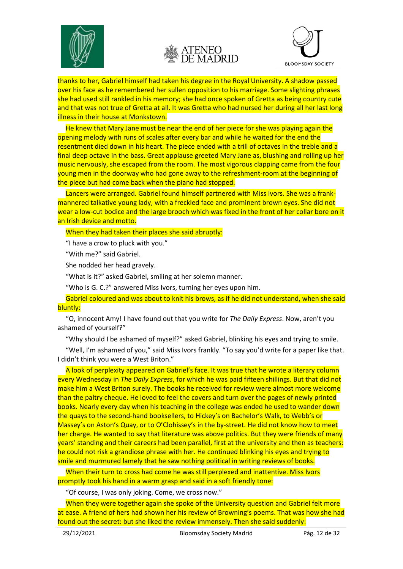





thanks to her, Gabriel himself had taken his degree in the Royal University. A shadow passed over his face as he remembered her sullen opposition to his marriage. Some slighting phrases she had used still rankled in his memory; she had once spoken of Gretta as being country cute and that was not true of Gretta at all. It was Gretta who had nursed her during all her last long illness in their house at Monkstown.

He knew that Mary Jane must be near the end of her piece for she was playing again the opening melody with runs of scales after every bar and while he waited for the end the resentment died down in his heart. The piece ended with a trill of octaves in the treble and a final deep octave in the bass. Great applause greeted Mary Jane as, blushing and rolling up her music nervously, she escaped from the room. The most vigorous clapping came from the four young men in the doorway who had gone away to the refreshment-room at the beginning of the piece but had come back when the piano had stopped.

Lancers were arranged. Gabriel found himself partnered with Miss Ivors. She was a frankmannered talkative young lady, with a freckled face and prominent brown eyes. She did not wear a low-cut bodice and the large brooch which was fixed in the front of her collar bore on it an Irish device and motto.

When they had taken their places she said abruptly:

"I have a crow to pluck with you."

"With me?" said Gabriel.

She nodded her head gravely.

"What is it?" asked Gabriel, smiling at her solemn manner.

"Who is G. C.?" answered Miss Ivors, turning her eyes upon him.

Gabriel coloured and was about to knit his brows, as if he did not understand, when she said bluntly:

"O, innocent Amy! I have found out that you write for *The Daily Express*. Now, aren't you ashamed of yourself?"

"Why should I be ashamed of myself?" asked Gabriel, blinking his eyes and trying to smile.

"Well, I'm ashamed of you," said Miss Ivors frankly. "To say you'd write for a paper like that. I didn't think you were a West Briton."

A look of perplexity appeared on Gabriel's face. It was true that he wrote a literary column every Wednesday in *The Daily Express*, for which he was paid fifteen shillings. But that did not make him a West Briton surely. The books he received for review were almost more welcome than the paltry cheque. He loved to feel the covers and turn over the pages of newly printed books. Nearly every day when his teaching in the college was ended he used to wander down the quays to the second-hand booksellers, to Hickey's on Bachelor's Walk, to Webb's or Massey's on Aston's Quay, or to O'Clohissey's in the by-street. He did not know how to meet her charge. He wanted to say that literature was above politics. But they were friends of many years' standing and their careers had been parallel, first at the university and then as teachers: he could not risk a grandiose phrase with her. He continued blinking his eyes and trying to smile and murmured lamely that he saw nothing political in writing reviews of books.

When their turn to cross had come he was still perplexed and inattentive. Miss Ivors promptly took his hand in a warm grasp and said in a soft friendly tone:

"Of course, I was only joking. Come, we cross now."

When they were together again she spoke of the University question and Gabriel felt more at ease. A friend of hers had shown her his review of Browning's poems. That was how she had found out the secret: but she liked the review immensely. Then she said suddenly: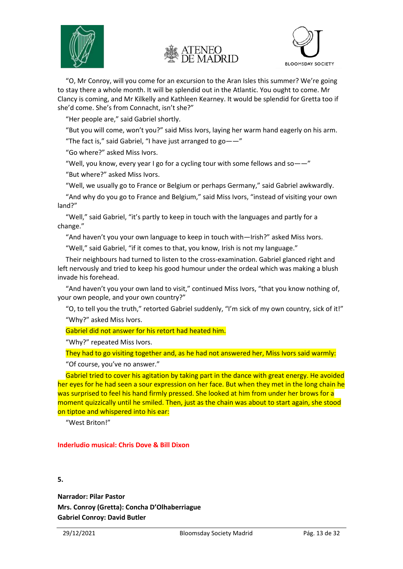





"O, Mr Conroy, will you come for an excursion to the Aran Isles this summer? We're going to stay there a whole month. It will be splendid out in the Atlantic. You ought to come. Mr Clancy is coming, and Mr Kilkelly and Kathleen Kearney. It would be splendid for Gretta too if she'd come. She's from Connacht, isn't she?"

"Her people are," said Gabriel shortly.

"But you will come, won't you?" said Miss Ivors, laying her warm hand eagerly on his arm.

"The fact is," said Gabriel, "I have just arranged to go——"

"Go where?" asked Miss Ivors.

"Well, you know, every year I go for a cycling tour with some fellows and so $-\frac{m}{2}$ 

"But where?" asked Miss Ivors.

"Well, we usually go to France or Belgium or perhaps Germany," said Gabriel awkwardly.

"And why do you go to France and Belgium," said Miss Ivors, "instead of visiting your own land?"

"Well," said Gabriel, "it's partly to keep in touch with the languages and partly for a change."

"And haven't you your own language to keep in touch with—Irish?" asked Miss Ivors.

"Well," said Gabriel, "if it comes to that, you know, Irish is not my language."

Their neighbours had turned to listen to the cross-examination. Gabriel glanced right and left nervously and tried to keep his good humour under the ordeal which was making a blush invade his forehead.

"And haven't you your own land to visit," continued Miss Ivors, "that you know nothing of, your own people, and your own country?"

"O, to tell you the truth," retorted Gabriel suddenly, "I'm sick of my own country, sick of it!" "Why?" asked Miss Ivors.

Gabriel did not answer for his retort had heated him.

"Why?" repeated Miss Ivors.

They had to go visiting together and, as he had not answered her, Miss Ivors said warmly:

"Of course, you've no answer."

Gabriel tried to cover his agitation by taking part in the dance with great energy. He avoided her eyes for he had seen a sour expression on her face. But when they met in the long chain he was surprised to feel his hand firmly pressed. She looked at him from under her brows for a moment quizzically until he smiled. Then, just as the chain was about to start again, she stood on tiptoe and whispered into his ear:

"West Briton!"

#### **Inderludio musical: Chris Dove & Bill Dixon**

**5.**

**Narrador: Pilar Pastor Mrs. Conroy (Gretta): Concha D'Olhaberriague Gabriel Conroy: David Butler**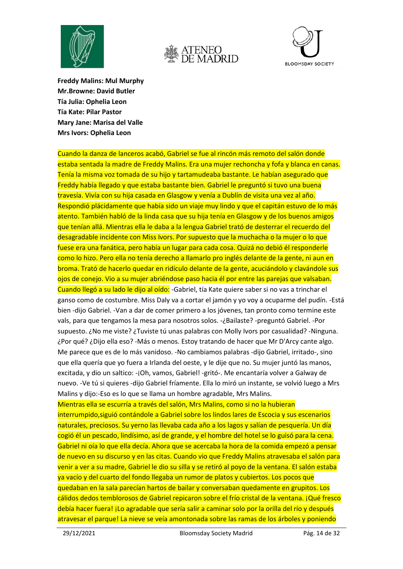





**Freddy Malins: Mul Murphy Mr.Browne: David Butler Tía Julia: Ophelia Leon Tía Kate: Pilar Pastor Mary Jane: Marisa del Valle Mrs Ivors: Ophelia Leon**

Cuando la danza de lanceros acabó, Gabriel se fue al rincón más remoto del salón donde estaba sentada la madre de Freddy Malins. Era una mujer rechoncha y fofa y blanca en canas. Tenía la misma voz tomada de su hijo y tartamudeaba bastante. Le habían asegurado que Freddy había llegado y que estaba bastante bien. Gabriel le preguntó si tuvo una buena travesía. Vivía con su hija casada en Glasgow y venía a Dublín de visita una vez al año. Respondió plácidamente que había sido un viaje muy lindo y que el capitán estuvo de lo más atento. También habló de la linda casa que su hija tenía en Glasgow y de los buenos amigos que tenían allá. Mientras ella le daba a la lengua Gabriel trató de desterrar el recuerdo del desagradable incidente con Miss Ivors. Por supuesto que la muchacha o la mujer o lo que fuese era una fanática, pero había un lugar para cada cosa. Quizá no debió él responderle como lo hizo. Pero ella no tenía derecho a llamarlo pro inglés delante de la gente, ni aun en broma. Trató de hacerlo quedar en ridículo delante de la gente, acuciándolo y clavándole sus ojos de conejo. Vio a su mujer abriéndose paso hacia él por entre las parejas que valsaban. Cuando llegó a su lado le dijo al oído: - Gabriel, tía Kate quiere saber si no vas a trinchar el ganso como de costumbre. Miss Daly va a cortar el jamón y yo voy a ocuparme del pudín. -Está bien -dijo Gabriel. -Van a dar de comer primero a los jóvenes, tan pronto como termine este vals, para que tengamos la mesa para nosotros solos. -¿Bailaste? -preguntó Gabriel. -Por supuesto. ¿No me viste? ¿Tuviste tú unas palabras con Molly Ivors por casualidad? -Ninguna. ¿Por qué? ¿Dijo ella eso? -Más o menos. Estoy tratando de hacer que Mr D'Arcy cante algo. Me parece que es de lo más vanidoso. -No cambiamos palabras -dijo Gabriel, irritado-, sino que ella quería que yo fuera a Irlanda del oeste, y le dije que no. Su mujer juntó las manos, excitada, y dio un saltico: -¡Oh, vamos, Gabriel! -gritó-. Me encantaría volver a Galway de nuevo. -Ve tú si quieres -dijo Gabriel fríamente. Ella lo miró un instante, se volvió luego a Mrs Malins y dijo:-Eso es lo que se llama un hombre agradable, Mrs Malins. Mientras ella se escurría a través del salón, Mrs Malins, como si no la hubieran interrumpido,siguió contándole a Gabriel sobre los lindos lares de Escocia y sus escenarios naturales, preciosos. Su yerno las llevaba cada año a los lagos y salían de pesquería. Un día cogió él un pescado, lindísimo, así de grande, y el hombre del hotel se lo guisó para la cena. Gabriel ni oía lo que ella decía. Ahora que se acercaba la hora de la comida empezó a pensar de nuevo en su discurso y en las citas. Cuando vio que Freddy Malins atravesaba el salón para venir a ver a su madre, Gabriel le dio su silla y se retiró al poyo de la ventana. El salón estaba ya vacío y del cuarto del fondo llegaba un rumor de platos y cubiertos. Los pocos que quedaban en la sala parecían hartos de bailar y conversaban quedamente en grupitos. Los cálidos dedos temblorosos de Gabriel repicaron sobre el frío cristal de la ventana. ¡Qué fresco debía hacer fuera! ¡Lo agradable que sería salir a caminar solo por la orilla del río y después atravesar el parque! La nieve se veía amontonada sobre las ramas de los árboles y poniendo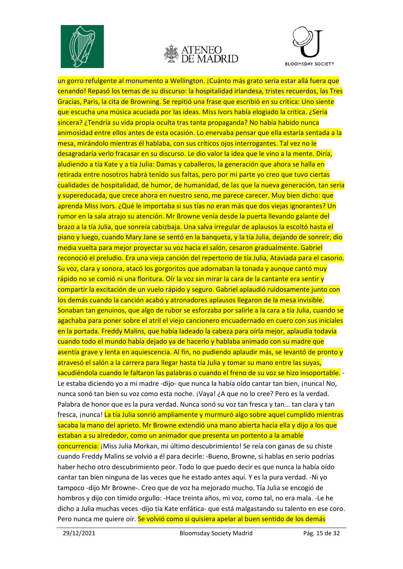





un gorro refulgente al monumento a Wellington. ¡Cuánto más grato sería estar allá fuera que cenando! Repasó los temas de su discurso: la hospitalidad irlandesa, tristes recuerdos, las Tres Gracias, Paris, la cita de Browning. Se repitió una frase que escribió en su crítica: Uno siente que escucha una música acuciada por las ideas. Miss Ivors había elogiado la crítica. ¿Sería sincera? ¿Tendría su vida propia oculta tras tanta propaganda? No había habido nunca animosidad entre ellos antes de esta ocasión. Lo enervaba pensar que ella estaría sentada a la mesa, mirándolo mientras él hablaba, con sus críticos ojos interrogantes. Tal vez no le desagradaría verlo fracasar en su discurso. Le dio valor la idea que le vino a la mente. Diría, aludiendo a tía Kate y a tía Julia: Damas y caballeros, la generación que ahora se halla en retirada entre nosotros habrá tenido sus faltas, pero por mi parte yo creo que tuvo ciertas cualidades de hospitalidad, de humor, de humanidad, de las que la nueva generación, tan seria y supereducada, que crece ahora en nuestro seno, me parece carecer. Muy bien dicho: que aprenda Miss Ivors. ¿Qué le importaba si sus tías no eran más que dos viejas ignorantes? Un rumor en la sala atrajo su atención. Mr Browne venía desde la puerta llevando galante del brazo a la tía Julia, que sonreía cabizbaja. Una salva irregular de aplausos la escoltó hasta el piano y luego, cuando Mary Jane se sentó en la banqueta, y la tía Julia, dejando de sonreír, dio media vuelta para mejor proyectar su voz hacia el salón, cesaron gradualmente. Gabriel reconoció el preludio. Era una vieja canción del repertorio de tía Julia, Ataviada para el casorio. Su voz, clara y sonora, atacó los gorgoritos que adornaban la tonada y aunque cantó muy rápido no se comió ni una floritura. Oír la voz sin mirar la cara de la cantante era sentir y compartir la excitación de un vuelo rápido y seguro. Gabriel aplaudió ruidosamente junto con los demás cuando la canción acabó y atronadores aplausos llegaron de la mesa invisible. Sonaban tan genuinos, que algo de rubor se esforzaba por salirle a la cara a tía Julia, cuando se agachaba para poner sobre el atril el viejo cancionero encuadernado en cuero con sus iniciales en la portada. Freddy Malins, que había ladeado la cabeza para oírla mejor, aplaudía todavía cuando todo el mundo había dejado ya de hacerlo y hablaba animado con su madre que asentía grave y lenta en aquiescencia. Al fin, no pudiendo aplaudir más, se levantó de pronto y atravesó el salón a la carrera para llegar hasta tía Julia y tomar su mano entre las suyas, sacudiéndola cuando le faltaron las palabras o cuando el freno de su voz se hizo insoportable. - Le estaba diciendo yo a mi madre -dijo- que nunca la había oído cantar tan bien, jnunca! No, nunca sonó tan bien su voz como esta noche. ¡Vaya! ¿A que no lo cree? Pero es la verdad. Palabra de honor que es la pura verdad. Nunca sonó su voz tan fresca y tan... tan clara y tan fresca, inunca! La tía Julia sonrió ampliamente y murmuró algo sobre aquel cumplido mientras sacaba la mano del aprieto. Mr Browne extendió una mano abierta hacia ella y dijo a los que estaban a su alrededor, como un animador que presenta un portento a la amable concurrencia: ¡Miss Julia Morkan, mi último descubrimiento! Se reía con ganas de su chiste cuando Freddy Malins se volvió a él para decirle: -Bueno, Browne, si hablas en serio podrías haber hecho otro descubrimiento peor. Todo lo que puedo decir es que nunca la había oído cantar tan bien ninguna de las veces que he estado antes aquí. Y es la pura verdad. -Ni yo tampoco -dijo Mr Browne-. Creo que de voz ha mejorado mucho. Tía Julia se encogió de hombros y dijo con tímido orgullo: -Hace treinta años, mi voz, como tal, no era mala. -Le he dicho a Julia muchas veces -dijo tía Kate enfática- que está malgastando su talento en ese coro. Pero nunca me quiere oír. Se volvió como si quisiera apelar al buen sentido de los demás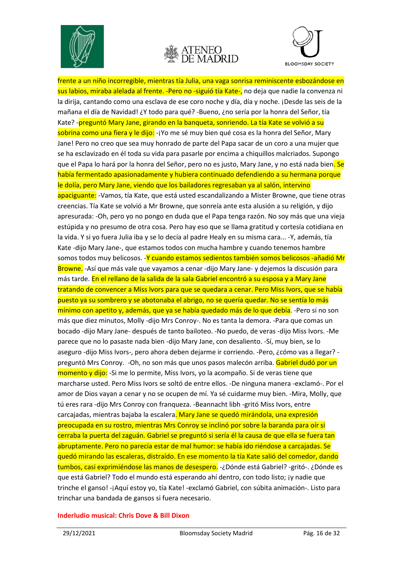





frente a un niño incorregible, mientras tía Julia, una vaga sonrisa reminiscente esbozándose en sus labios, miraba alelada al frente. -Pero no -siguió tía Kate-, no deja que nadie la convenza ni la dirija, cantando como una esclava de ese coro noche y día, día y noche. ¡Desde las seis de la mañana el día de Navidad! ¿Y todo para qué? -Bueno, ¿no sería por la honra del Señor, tía Kate? -preguntó Mary Jane, girando en la banqueta, sonriendo. La tía Kate se volvió a su sobrina como una fiera y le dijo: -¡Yo me sé muy bien qué cosa es la honra del Señor, Mary Jane! Pero no creo que sea muy honrado de parte del Papa sacar de un coro a una mujer que se ha esclavizado en él toda su vida para pasarle por encima a chiquillos malcriados. Supongo que el Papa lo hará por la honra del Señor, pero no es justo, Mary Jane, y no está nada bien. Se había fermentado apasionadamente y hubiera continuado defendiendo a su hermana porque le dolía, pero Mary Jane, viendo que los bailadores regresaban ya al salón, intervino apaciguante: -Vamos, tía Kate, que está usted escandalizando a Mister Browne, que tiene otras creencias. Tía Kate se volvió a Mr Browne, que sonreía ante esta alusión a su religión, y dijo apresurada: -Oh, pero yo no pongo en duda que el Papa tenga razón. No soy más que una vieja estúpida y no presumo de otra cosa. Pero hay eso que se llama gratitud y cortesía cotidiana en la vida. Y si yo fuera Julia iba y se lo decía al padre Healy en su misma cara... -Y, además, tía Kate -dijo Mary Jane-, que estamos todos con mucha hambre y cuando tenemos hambre somos todos muy belicosos. -Y cuando estamos sedientos también somos belicosos -añadió Mr Browne. -Así que más vale que vayamos a cenar -dijo Mary Jane- y dejemos la discusión para más tarde. En el rellano de la salida de la sala Gabriel encontró a su esposa y a Mary Jane tratando de convencer a Miss Ivors para que se quedara a cenar. Pero Miss Ivors, que se había puesto ya su sombrero y se abotonaba el abrigo, no se quería quedar. No se sentía lo más mínimo con apetito y, además, que ya se había quedado más de lo que debía. -Pero si no son más que diez minutos, Molly -dijo Mrs Conroy-. No es tanta la demora. -Para que comas un bocado -dijo Mary Jane- después de tanto bailoteo. -No puedo, de veras -dijo Miss Ivors. -Me parece que no lo pasaste nada bien -dijo Mary Jane, con desaliento. -Sí, muy bien, se lo aseguro -dijo Miss Ivors-, pero ahora deben dejarme ir corriendo. -Pero, ¿cómo vas a llegar? preguntó Mrs Conroy. -Oh, no son más que unos pasos malecón arriba. Gabriel dudó por un momento y dijo: -Si me lo permite, Miss Ivors, yo la acompaño. Si de veras tiene que marcharse usted. Pero Miss Ivors se soltó de entre ellos. -De ninguna manera -exclamó-. Por el amor de Dios vayan a cenar y no se ocupen de mí. Ya sé cuidarme muy bien. -Mira, Molly, que tú eres rara -dijo Mrs Conroy con franqueza. -Beannacht libh -gritó Miss Ivors, entre carcajadas, mientras bajaba la escalera. Mary Jane se quedó mirándola, una expresión preocupada en su rostro, mientras Mrs Conroy se inclinó por sobre la baranda para oír si cerraba la puerta del zaguán. Gabriel se preguntó si sería él la causa de que ella se fuera tan abruptamente. Pero no parecía estar de mal humor: se había ido riéndose a carcajadas. Se quedó mirando las escaleras, distraído. En ese momento la tía Kate salió del comedor, dando tumbos, casi exprimiéndose las manos de desespero. -¿Dónde está Gabriel? -gritó-. ¿Dónde es que está Gabriel? Todo el mundo está esperando ahí dentro, con todo listo; ¡y nadie que trinche el ganso! -¡Aquí estoy yo, tía Kate! -exclamó Gabriel, con súbita animación-. Listo para trinchar una bandada de gansos si fuera necesario.

#### **Inderludio musical: Chris Dove & Bill Dixon**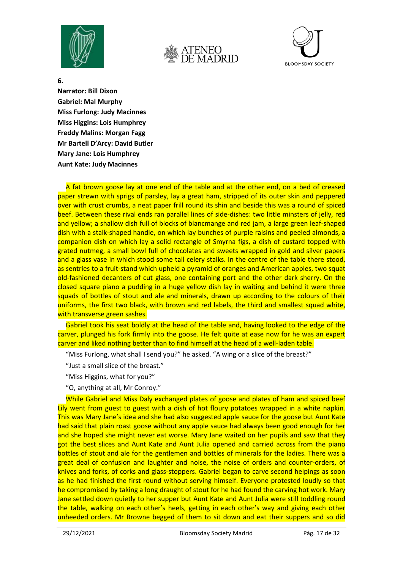





**6.**

**Narrator: Bill Dixon Gabriel: Mal Murphy Miss Furlong: Judy Macinnes Miss Higgins: Lois Humphrey Freddy Malins: Morgan Fagg Mr Bartell D'Arcy: David Butler Mary Jane: Lois Humphrey Aunt Kate: Judy Macinnes**

A fat brown goose lay at one end of the table and at the other end, on a bed of creased paper strewn with sprigs of parsley, lay a great ham, stripped of its outer skin and peppered over with crust crumbs, a neat paper frill round its shin and beside this was a round of spiced beef. Between these rival ends ran parallel lines of side-dishes: two little minsters of jelly, red and yellow; a shallow dish full of blocks of blancmange and red jam, a large green leaf-shaped dish with a stalk-shaped handle, on which lay bunches of purple raisins and peeled almonds, a companion dish on which lay a solid rectangle of Smyrna figs, a dish of custard topped with grated nutmeg, a small bowl full of chocolates and sweets wrapped in gold and silver papers and a glass vase in which stood some tall celery stalks. In the centre of the table there stood, as sentries to a fruit-stand which upheld a pyramid of oranges and American apples, two squat old-fashioned decanters of cut glass, one containing port and the other dark sherry. On the closed square piano a pudding in a huge yellow dish lay in waiting and behind it were three squads of bottles of stout and ale and minerals, drawn up according to the colours of their uniforms, the first two black, with brown and red labels, the third and smallest squad white, with transverse green sashes.

Gabriel took his seat boldly at the head of the table and, having looked to the edge of the carver, plunged his fork firmly into the goose. He felt quite at ease now for he was an expert carver and liked nothing better than to find himself at the head of a well-laden table.

"Miss Furlong, what shall I send you?" he asked. "A wing or a slice of the breast?"

"Just a small slice of the breast."

"Miss Higgins, what for you?"

"O, anything at all, Mr Conroy."

While Gabriel and Miss Daly exchanged plates of goose and plates of ham and spiced beef Lily went from guest to guest with a dish of hot floury potatoes wrapped in a white napkin. This was Mary Jane's idea and she had also suggested apple sauce for the goose but Aunt Kate had said that plain roast goose without any apple sauce had always been good enough for her and she hoped she might never eat worse. Mary Jane waited on her pupils and saw that they got the best slices and Aunt Kate and Aunt Julia opened and carried across from the piano bottles of stout and ale for the gentlemen and bottles of minerals for the ladies. There was a great deal of confusion and laughter and noise, the noise of orders and counter-orders, of knives and forks, of corks and glass-stoppers. Gabriel began to carve second helpings as soon as he had finished the first round without serving himself. Everyone protested loudly so that he compromised by taking a long draught of stout for he had found the carving hot work. Mary Jane settled down quietly to her supper but Aunt Kate and Aunt Julia were still toddling round the table, walking on each other's heels, getting in each other's way and giving each other unheeded orders. Mr Browne begged of them to sit down and eat their suppers and so did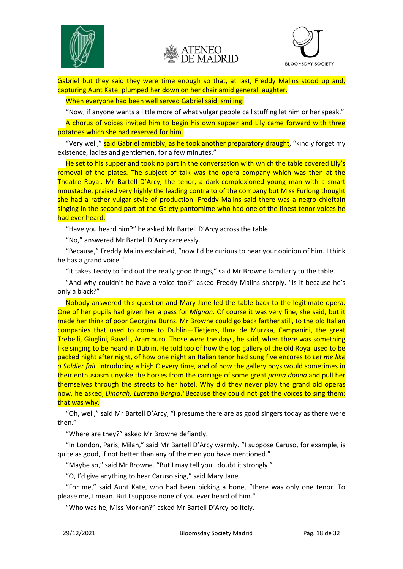





Gabriel but they said they were time enough so that, at last, Freddy Malins stood up and, capturing Aunt Kate, plumped her down on her chair amid general laughter.

When everyone had been well served Gabriel said, smiling:

"Now, if anyone wants a little more of what vulgar people call stuffing let him or her speak."

A chorus of voices invited him to begin his own supper and Lily came forward with three potatoes which she had reserved for him.

"Very well," said Gabriel amiably, as he took another preparatory draught, "kindly forget my existence, ladies and gentlemen, for a few minutes."

He set to his supper and took no part in the conversation with which the table covered Lily's removal of the plates. The subject of talk was the opera company which was then at the Theatre Royal. Mr Bartell D'Arcy, the tenor, a dark-complexioned young man with a smart moustache, praised very highly the leading contralto of the company but Miss Furlong thought she had a rather vulgar style of production. Freddy Malins said there was a negro chieftain singing in the second part of the Gaiety pantomime who had one of the finest tenor voices he had ever heard.

"Have you heard him?" he asked Mr Bartell D'Arcy across the table.

"No," answered Mr Bartell D'Arcy carelessly.

"Because," Freddy Malins explained, "now I'd be curious to hear your opinion of him. I think he has a grand voice."

"It takes Teddy to find out the really good things," said Mr Browne familiarly to the table.

"And why couldn't he have a voice too?" asked Freddy Malins sharply. "Is it because he's only a black?"

Nobody answered this question and Mary Jane led the table back to the legitimate opera. One of her pupils had given her a pass for *Mignon*. Of course it was very fine, she said, but it made her think of poor Georgina Burns. Mr Browne could go back farther still, to the old Italian companies that used to come to Dublin—Tietjens, Ilma de Murzka, Campanini, the great Trebelli, Giuglini, Ravelli, Aramburo. Those were the days, he said, when there was something like singing to be heard in Dublin. He told too of how the top gallery of the old Royal used to be packed night after night, of how one night an Italian tenor had sung five encores to *Let me like a Soldier fall*, introducing a high C every time, and of how the gallery boys would sometimes in their enthusiasm unyoke the horses from the carriage of some great *prima donna* and pull her themselves through the streets to her hotel. Why did they never play the grand old operas now, he asked, *Dinorah, Lucrezia Borgia?* Because they could not get the voices to sing them: that was why.

"Oh, well," said Mr Bartell D'Arcy, "I presume there are as good singers today as there were then."

"Where are they?" asked Mr Browne defiantly.

"In London, Paris, Milan," said Mr Bartell D'Arcy warmly. "I suppose Caruso, for example, is quite as good, if not better than any of the men you have mentioned."

"Maybe so," said Mr Browne. "But I may tell you I doubt it strongly."

"O, I'd give anything to hear Caruso sing," said Mary Jane.

"For me," said Aunt Kate, who had been picking a bone, "there was only one tenor. To please me, I mean. But I suppose none of you ever heard of him."

"Who was he, Miss Morkan?" asked Mr Bartell D'Arcy politely.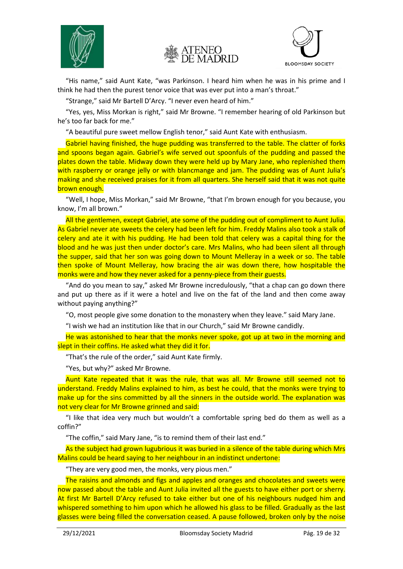





"His name," said Aunt Kate, "was Parkinson. I heard him when he was in his prime and I think he had then the purest tenor voice that was ever put into a man's throat."

"Strange," said Mr Bartell D'Arcy. "I never even heard of him."

"Yes, yes, Miss Morkan is right," said Mr Browne. "I remember hearing of old Parkinson but he's too far back for me."

"A beautiful pure sweet mellow English tenor," said Aunt Kate with enthusiasm.

Gabriel having finished, the huge pudding was transferred to the table. The clatter of forks and spoons began again. Gabriel's wife served out spoonfuls of the pudding and passed the plates down the table. Midway down they were held up by Mary Jane, who replenished them with raspberry or orange jelly or with blancmange and jam. The pudding was of Aunt Julia's making and she received praises for it from all quarters. She herself said that it was not quite brown enough.

"Well, I hope, Miss Morkan," said Mr Browne, "that I'm brown enough for you because, you know, I'm all brown."

All the gentlemen, except Gabriel, ate some of the pudding out of compliment to Aunt Julia. As Gabriel never ate sweets the celery had been left for him. Freddy Malins also took a stalk of celery and ate it with his pudding. He had been told that celery was a capital thing for the blood and he was just then under doctor's care. Mrs Malins, who had been silent all through the supper, said that her son was going down to Mount Melleray in a week or so. The table then spoke of Mount Melleray, how bracing the air was down there, how hospitable the monks were and how they never asked for a penny-piece from their guests.

"And do you mean to say," asked Mr Browne incredulously, "that a chap can go down there and put up there as if it were a hotel and live on the fat of the land and then come away without paying anything?"

"O, most people give some donation to the monastery when they leave." said Mary Jane.

"I wish we had an institution like that in our Church," said Mr Browne candidly.

He was astonished to hear that the monks never spoke, got up at two in the morning and slept in their coffins. He asked what they did it for.

"That's the rule of the order," said Aunt Kate firmly.

"Yes, but why?" asked Mr Browne.

Aunt Kate repeated that it was the rule, that was all. Mr Browne still seemed not to understand. Freddy Malins explained to him, as best he could, that the monks were trying to make up for the sins committed by all the sinners in the outside world. The explanation was not very clear for Mr Browne grinned and said:

"I like that idea very much but wouldn't a comfortable spring bed do them as well as a coffin?"

"The coffin," said Mary Jane, "is to remind them of their last end."

As the subject had grown lugubrious it was buried in a silence of the table during which Mrs Malins could be heard saying to her neighbour in an indistinct undertone:

"They are very good men, the monks, very pious men."

The raisins and almonds and figs and apples and oranges and chocolates and sweets were now passed about the table and Aunt Julia invited all the guests to have either port or sherry. At first Mr Bartell D'Arcy refused to take either but one of his neighbours nudged him and whispered something to him upon which he allowed his glass to be filled. Gradually as the last glasses were being filled the conversation ceased. A pause followed, broken only by the noise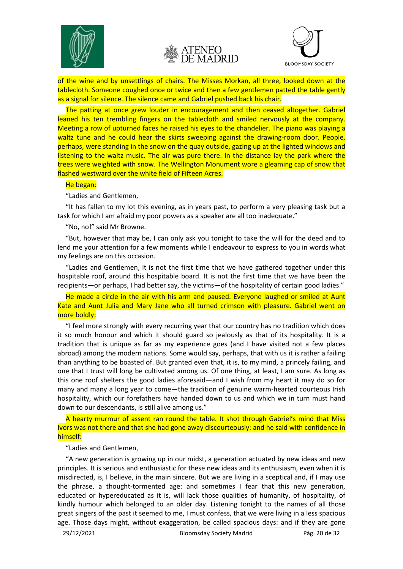





of the wine and by unsettlings of chairs. The Misses Morkan, all three, looked down at the tablecloth. Someone coughed once or twice and then a few gentlemen patted the table gently as a signal for silence. The silence came and Gabriel pushed back his chair.

The patting at once grew louder in encouragement and then ceased altogether. Gabriel leaned his ten trembling fingers on the tablecloth and smiled nervously at the company. Meeting a row of upturned faces he raised his eyes to the chandelier. The piano was playing a waltz tune and he could hear the skirts sweeping against the drawing-room door. People, perhaps, were standing in the snow on the quay outside, gazing up at the lighted windows and listening to the waltz music. The air was pure there. In the distance lay the park where the trees were weighted with snow. The Wellington Monument wore a gleaming cap of snow that flashed westward over the white field of Fifteen Acres.

#### He began:

"Ladies and Gentlemen,

"It has fallen to my lot this evening, as in years past, to perform a very pleasing task but a task for which I am afraid my poor powers as a speaker are all too inadequate."

"No, no!" said Mr Browne.

"But, however that may be, I can only ask you tonight to take the will for the deed and to lend me your attention for a few moments while I endeavour to express to you in words what my feelings are on this occasion.

"Ladies and Gentlemen, it is not the first time that we have gathered together under this hospitable roof, around this hospitable board. It is not the first time that we have been the recipients—or perhaps, I had better say, the victims—of the hospitality of certain good ladies."

He made a circle in the air with his arm and paused. Everyone laughed or smiled at Aunt Kate and Aunt Julia and Mary Jane who all turned crimson with pleasure. Gabriel went on more boldly:

"I feel more strongly with every recurring year that our country has no tradition which does it so much honour and which it should guard so jealously as that of its hospitality. It is a tradition that is unique as far as my experience goes (and I have visited not a few places abroad) among the modern nations. Some would say, perhaps, that with us it is rather a failing than anything to be boasted of. But granted even that, it is, to my mind, a princely failing, and one that I trust will long be cultivated among us. Of one thing, at least, I am sure. As long as this one roof shelters the good ladies aforesaid—and I wish from my heart it may do so for many and many a long year to come—the tradition of genuine warm-hearted courteous Irish hospitality, which our forefathers have handed down to us and which we in turn must hand down to our descendants, is still alive among us."

A hearty murmur of assent ran round the table. It shot through Gabriel's mind that Miss Ivors was not there and that she had gone away discourteously: and he said with confidence in himself:

"Ladies and Gentlemen,

"A new generation is growing up in our midst, a generation actuated by new ideas and new principles. It is serious and enthusiastic for these new ideas and its enthusiasm, even when it is misdirected, is, I believe, in the main sincere. But we are living in a sceptical and, if I may use the phrase, a thought-tormented age: and sometimes I fear that this new generation, educated or hypereducated as it is, will lack those qualities of humanity, of hospitality, of kindly humour which belonged to an older day. Listening tonight to the names of all those great singers of the past it seemed to me, I must confess, that we were living in a less spacious age. Those days might, without exaggeration, be called spacious days: and if they are gone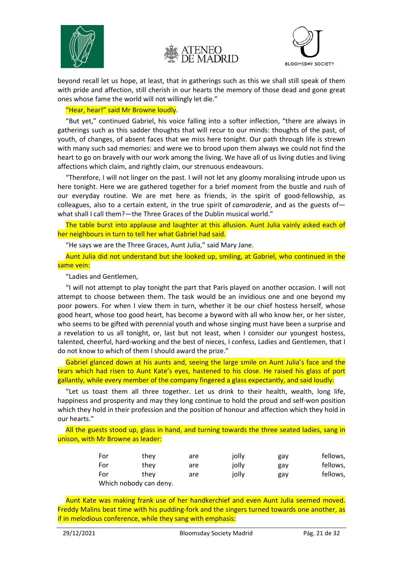





beyond recall let us hope, at least, that in gatherings such as this we shall still speak of them with pride and affection, still cherish in our hearts the memory of those dead and gone great ones whose fame the world will not willingly let die."

#### "Hear, hear!" said Mr Browne loudly.

"But yet," continued Gabriel, his voice falling into a softer inflection, "there are always in gatherings such as this sadder thoughts that will recur to our minds: thoughts of the past, of youth, of changes, of absent faces that we miss here tonight. Our path through life is strewn with many such sad memories: and were we to brood upon them always we could not find the heart to go on bravely with our work among the living. We have all of us living duties and living affections which claim, and rightly claim, our strenuous endeavours.

"Therefore, I will not linger on the past. I will not let any gloomy moralising intrude upon us here tonight. Here we are gathered together for a brief moment from the bustle and rush of our everyday routine. We are met here as friends, in the spirit of good-fellowship, as colleagues, also to a certain extent, in the true spirit of *camaraderie*, and as the guests of what shall I call them?—the Three Graces of the Dublin musical world."

The table burst into applause and laughter at this allusion. Aunt Julia vainly asked each of her neighbours in turn to tell her what Gabriel had said.

"He says we are the Three Graces, Aunt Julia," said Mary Jane.

Aunt Julia did not understand but she looked up, smiling, at Gabriel, who continued in the same vein:

"Ladies and Gentlemen,

"I will not attempt to play tonight the part that Paris played on another occasion. I will not attempt to choose between them. The task would be an invidious one and one beyond my poor powers. For when I view them in turn, whether it be our chief hostess herself, whose good heart, whose too good heart, has become a byword with all who know her, or her sister, who seems to be gifted with perennial youth and whose singing must have been a surprise and a revelation to us all tonight, or, last but not least, when I consider our youngest hostess, talented, cheerful, hard-working and the best of nieces, I confess, Ladies and Gentlemen, that I do not know to which of them I should award the prize."

Gabriel glanced down at his aunts and, seeing the large smile on Aunt Julia's face and the tears which had risen to Aunt Kate's eyes, hastened to his close. He raised his glass of port gallantly, while every member of the company fingered a glass expectantly, and said loudly:

"Let us toast them all three together. Let us drink to their health, wealth, long life, happiness and prosperity and may they long continue to hold the proud and self-won position which they hold in their profession and the position of honour and affection which they hold in our hearts."

All the guests stood up, glass in hand, and turning towards the three seated ladies, sang in unison, with Mr Browne as leader:

| For | they                   | are | jolly | gay | fellows, |
|-----|------------------------|-----|-------|-----|----------|
| For | thev                   | are | jolly | gay | fellows, |
| For | thev                   | are | jolly | gay | fellows, |
|     | Which nobody can deny. |     |       |     |          |

Aunt Kate was making frank use of her handkerchief and even Aunt Julia seemed moved. Freddy Malins beat time with his pudding-fork and the singers turned towards one another, as if in melodious conference, while they sang with emphasis: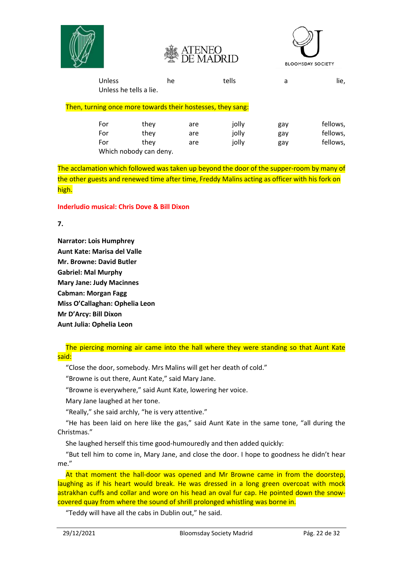





| Unless                 | Unless he tells a lie. | he                                                          | tells | а   | lie,     |
|------------------------|------------------------|-------------------------------------------------------------|-------|-----|----------|
|                        |                        | Then, turning once more towards their hostesses, they sang: |       |     |          |
| For                    | they                   | are                                                         | jolly | gay | fellows, |
| For                    | they                   | are                                                         | jolly | gay | fellows, |
| For                    | they                   | are                                                         | jolly | gay | fellows, |
| Which nobody can deny. |                        |                                                             |       |     |          |

The acclamation which followed was taken up beyond the door of the supper-room by many of the other guests and renewed time after time, Freddy Malins acting as officer with his fork on high.

#### **Inderludio musical: Chris Dove & Bill Dixon**

**7.** 

**Narrator: Lois Humphrey Aunt Kate: Marisa del Valle Mr. Browne: David Butler Gabriel: Mal Murphy Mary Jane: Judy Macinnes Cabman: Morgan Fagg Miss O'Callaghan: Ophelia Leon Mr D'Arcy: Bill Dixon Aunt Julia: Ophelia Leon**

The piercing morning air came into the hall where they were standing so that Aunt Kate said:

"Close the door, somebody. Mrs Malins will get her death of cold."

"Browne is out there, Aunt Kate," said Mary Jane.

"Browne is everywhere," said Aunt Kate, lowering her voice.

Mary Jane laughed at her tone.

"Really," she said archly, "he is very attentive."

"He has been laid on here like the gas," said Aunt Kate in the same tone, "all during the Christmas."

She laughed herself this time good-humouredly and then added quickly:

"But tell him to come in, Mary Jane, and close the door. I hope to goodness he didn't hear me."

At that moment the hall-door was opened and Mr Browne came in from the doorstep, laughing as if his heart would break. He was dressed in a long green overcoat with mock astrakhan cuffs and collar and wore on his head an oval fur cap. He pointed down the snowcovered quay from where the sound of shrill prolonged whistling was borne in.

"Teddy will have all the cabs in Dublin out," he said.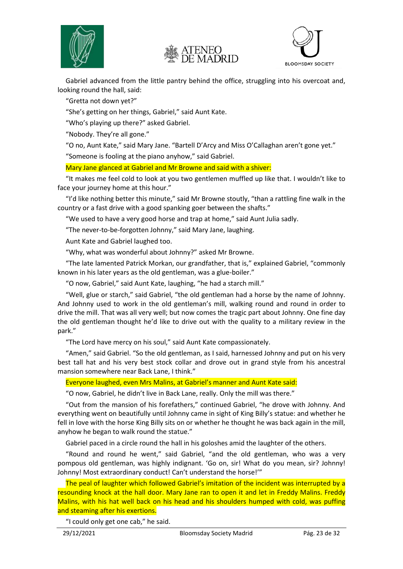





Gabriel advanced from the little pantry behind the office, struggling into his overcoat and, looking round the hall, said:

"Gretta not down yet?"

"She's getting on her things, Gabriel," said Aunt Kate.

"Who's playing up there?" asked Gabriel.

"Nobody. They're all gone."

"O no, Aunt Kate," said Mary Jane. "Bartell D'Arcy and Miss O'Callaghan aren't gone yet."

"Someone is fooling at the piano anyhow," said Gabriel.

Mary Jane glanced at Gabriel and Mr Browne and said with a shiver:

"It makes me feel cold to look at you two gentlemen muffled up like that. I wouldn't like to face your journey home at this hour."

"I'd like nothing better this minute," said Mr Browne stoutly, "than a rattling fine walk in the country or a fast drive with a good spanking goer between the shafts."

"We used to have a very good horse and trap at home," said Aunt Julia sadly.

"The never-to-be-forgotten Johnny," said Mary Jane, laughing.

Aunt Kate and Gabriel laughed too.

"Why, what was wonderful about Johnny?" asked Mr Browne.

"The late lamented Patrick Morkan, our grandfather, that is," explained Gabriel, "commonly known in his later years as the old gentleman, was a glue-boiler."

"O now, Gabriel," said Aunt Kate, laughing, "he had a starch mill."

"Well, glue or starch," said Gabriel, "the old gentleman had a horse by the name of Johnny. And Johnny used to work in the old gentleman's mill, walking round and round in order to drive the mill. That was all very well; but now comes the tragic part about Johnny. One fine day the old gentleman thought he'd like to drive out with the quality to a military review in the park."

"The Lord have mercy on his soul," said Aunt Kate compassionately.

"Amen," said Gabriel. "So the old gentleman, as I said, harnessed Johnny and put on his very best tall hat and his very best stock collar and drove out in grand style from his ancestral mansion somewhere near Back Lane, I think."

Everyone laughed, even Mrs Malins, at Gabriel's manner and Aunt Kate said:

"O now, Gabriel, he didn't live in Back Lane, really. Only the mill was there."

"Out from the mansion of his forefathers," continued Gabriel, "he drove with Johnny. And everything went on beautifully until Johnny came in sight of King Billy's statue: and whether he fell in love with the horse King Billy sits on or whether he thought he was back again in the mill, anyhow he began to walk round the statue."

Gabriel paced in a circle round the hall in his goloshes amid the laughter of the others.

"Round and round he went," said Gabriel, "and the old gentleman, who was a very pompous old gentleman, was highly indignant. 'Go on, sir! What do you mean, sir? Johnny! Johnny! Most extraordinary conduct! Can't understand the horse!'"

The peal of laughter which followed Gabriel's imitation of the incident was interrupted by a resounding knock at the hall door. Mary Jane ran to open it and let in Freddy Malins. Freddy Malins, with his hat well back on his head and his shoulders humped with cold, was puffing and steaming after his exertions.

"I could only get one cab," he said.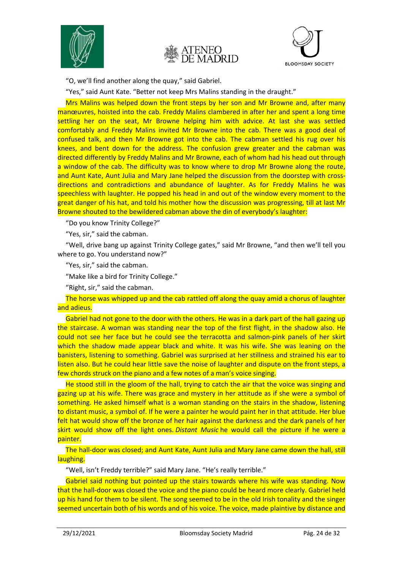





"O, we'll find another along the quay," said Gabriel.

"Yes," said Aunt Kate. "Better not keep Mrs Malins standing in the draught."

Mrs Malins was helped down the front steps by her son and Mr Browne and, after many manœuvres, hoisted into the cab. Freddy Malins clambered in after her and spent a long time settling her on the seat, Mr Browne helping him with advice. At last she was settled comfortably and Freddy Malins invited Mr Browne into the cab. There was a good deal of confused talk, and then Mr Browne got into the cab. The cabman settled his rug over his knees, and bent down for the address. The confusion grew greater and the cabman was directed differently by Freddy Malins and Mr Browne, each of whom had his head out through a window of the cab. The difficulty was to know where to drop Mr Browne along the route, and Aunt Kate, Aunt Julia and Mary Jane helped the discussion from the doorstep with crossdirections and contradictions and abundance of laughter. As for Freddy Malins he was speechless with laughter. He popped his head in and out of the window every moment to the great danger of his hat, and told his mother how the discussion was progressing, till at last Mr Browne shouted to the bewildered cabman above the din of everybody's laughter:

"Do you know Trinity College?"

"Yes, sir," said the cabman.

"Well, drive bang up against Trinity College gates," said Mr Browne, "and then we'll tell you where to go. You understand now?"

"Yes, sir," said the cabman.

"Make like a bird for Trinity College."

"Right, sir," said the cabman.

The horse was whipped up and the cab rattled off along the quay amid a chorus of laughter and adieus.

Gabriel had not gone to the door with the others. He was in a dark part of the hall gazing up the staircase. A woman was standing near the top of the first flight, in the shadow also. He could not see her face but he could see the terracotta and salmon-pink panels of her skirt which the shadow made appear black and white. It was his wife. She was leaning on the banisters, listening to something. Gabriel was surprised at her stillness and strained his ear to listen also. But he could hear little save the noise of laughter and dispute on the front steps, a few chords struck on the piano and a few notes of a man's voice singing.

He stood still in the gloom of the hall, trying to catch the air that the voice was singing and gazing up at his wife. There was grace and mystery in her attitude as if she were a symbol of something. He asked himself what is a woman standing on the stairs in the shadow, listening to distant music, a symbol of. If he were a painter he would paint her in that attitude. Her blue felt hat would show off the bronze of her hair against the darkness and the dark panels of her skirt would show off the light ones. *Distant Music* he would call the picture if he were a painter.

The hall-door was closed; and Aunt Kate, Aunt Julia and Mary Jane came down the hall, still laughing.

"Well, isn't Freddy terrible?" said Mary Jane. "He's really terrible."

Gabriel said nothing but pointed up the stairs towards where his wife was standing. Now that the hall-door was closed the voice and the piano could be heard more clearly. Gabriel held up his hand for them to be silent. The song seemed to be in the old Irish tonality and the singer seemed uncertain both of his words and of his voice. The voice, made plaintive by distance and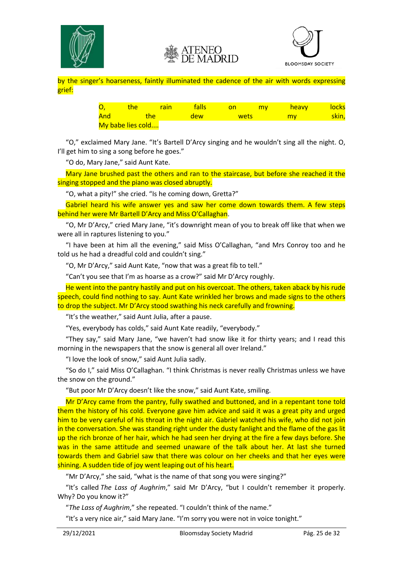





by the singer's hoarseness, faintly illuminated the cadence of the air with words expressing grief:

|            | the.              | <b>rain</b> | falls | <u>on</u> | mv | heavy | <b>locks</b> |
|------------|-------------------|-------------|-------|-----------|----|-------|--------------|
| <b>And</b> |                   | the.        | dew   | wets      |    | mv    | skin,        |
|            | My babe lies cold |             |       |           |    |       |              |

"O," exclaimed Mary Jane. "It's Bartell D'Arcy singing and he wouldn't sing all the night. O, I'll get him to sing a song before he goes."

"O do, Mary Jane," said Aunt Kate.

Mary Jane brushed past the others and ran to the staircase, but before she reached it the singing stopped and the piano was closed abruptly.

"O, what a pity!" she cried. "Is he coming down, Gretta?"

Gabriel heard his wife answer yes and saw her come down towards them. A few steps behind her were Mr Bartell D'Arcy and Miss O'Callaghan.

"O, Mr D'Arcy," cried Mary Jane, "it's downright mean of you to break off like that when we were all in raptures listening to you."

"I have been at him all the evening," said Miss O'Callaghan, "and Mrs Conroy too and he told us he had a dreadful cold and couldn't sing."

"O, Mr D'Arcy," said Aunt Kate, "now that was a great fib to tell."

"Can't you see that I'm as hoarse as a crow?" said Mr D'Arcy roughly.

He went into the pantry hastily and put on his overcoat. The others, taken aback by his rude speech, could find nothing to say. Aunt Kate wrinkled her brows and made signs to the others to drop the subject. Mr D'Arcy stood swathing his neck carefully and frowning.

"It's the weather," said Aunt Julia, after a pause.

"Yes, everybody has colds," said Aunt Kate readily, "everybody."

"They say," said Mary Jane, "we haven't had snow like it for thirty years; and I read this morning in the newspapers that the snow is general all over Ireland."

"I love the look of snow," said Aunt Julia sadly.

"So do I," said Miss O'Callaghan. "I think Christmas is never really Christmas unless we have the snow on the ground."

"But poor Mr D'Arcy doesn't like the snow," said Aunt Kate, smiling.

Mr D'Arcy came from the pantry, fully swathed and buttoned, and in a repentant tone told them the history of his cold. Everyone gave him advice and said it was a great pity and urged him to be very careful of his throat in the night air. Gabriel watched his wife, who did not join in the conversation. She was standing right under the dusty fanlight and the flame of the gas lit up the rich bronze of her hair, which he had seen her drying at the fire a few days before. She was in the same attitude and seemed unaware of the talk about her. At last she turned towards them and Gabriel saw that there was colour on her cheeks and that her eyes were shining. A sudden tide of joy went leaping out of his heart.

"Mr D'Arcy," she said, "what is the name of that song you were singing?"

"It's called *The Lass of Aughrim*," said Mr D'Arcy, "but I couldn't remember it properly. Why? Do you know it?"

"*The Lass of Aughrim*," she repeated. "I couldn't think of the name."

"It's a very nice air," said Mary Jane. "I'm sorry you were not in voice tonight."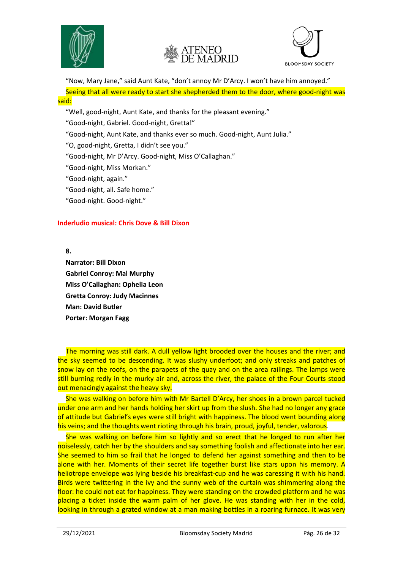





"Now, Mary Jane," said Aunt Kate, "don't annoy Mr D'Arcy. I won't have him annoyed." Seeing that all were ready to start she shepherded them to the door, where good-night was said:

"Well, good-night, Aunt Kate, and thanks for the pleasant evening."

"Good-night, Gabriel. Good-night, Gretta!"

"Good-night, Aunt Kate, and thanks ever so much. Good-night, Aunt Julia."

"O, good-night, Gretta, I didn't see you."

"Good-night, Mr D'Arcy. Good-night, Miss O'Callaghan."

"Good-night, Miss Morkan."

"Good-night, again."

"Good-night, all. Safe home."

"Good-night. Good-night."

#### **Inderludio musical: Chris Dove & Bill Dixon**

**8.** 

**Narrator: Bill Dixon Gabriel Conroy: Mal Murphy Miss O'Callaghan: Ophelia Leon Gretta Conroy: Judy Macinnes Man: David Butler Porter: Morgan Fagg**

The morning was still dark. A dull yellow light brooded over the houses and the river; and the sky seemed to be descending. It was slushy underfoot; and only streaks and patches of snow lay on the roofs, on the parapets of the quay and on the area railings. The lamps were still burning redly in the murky air and, across the river, the palace of the Four Courts stood out menacingly against the heavy sky.

She was walking on before him with Mr Bartell D'Arcy, her shoes in a brown parcel tucked under one arm and her hands holding her skirt up from the slush. She had no longer any grace of attitude but Gabriel's eyes were still bright with happiness. The blood went bounding along his veins; and the thoughts went rioting through his brain, proud, joyful, tender, valorous.

She was walking on before him so lightly and so erect that he longed to run after her noiselessly, catch her by the shoulders and say something foolish and affectionate into her ear. She seemed to him so frail that he longed to defend her against something and then to be alone with her. Moments of their secret life together burst like stars upon his memory. A heliotrope envelope was lying beside his breakfast-cup and he was caressing it with his hand. Birds were twittering in the ivy and the sunny web of the curtain was shimmering along the floor: he could not eat for happiness. They were standing on the crowded platform and he was placing a ticket inside the warm palm of her glove. He was standing with her in the cold, looking in through a grated window at a man making bottles in a roaring furnace. It was very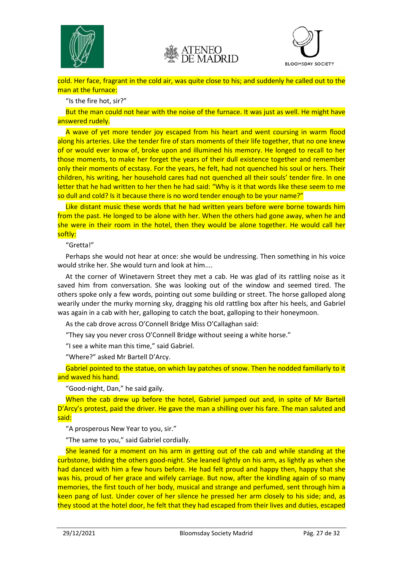





cold. Her face, fragrant in the cold air, was quite close to his; and suddenly he called out to the man at the furnace:

"Is the fire hot, sir?"

But the man could not hear with the noise of the furnace. It was just as well. He might have answered rudely.

A wave of yet more tender joy escaped from his heart and went coursing in warm flood along his arteries. Like the tender fire of stars moments of their life together, that no one knew of or would ever know of, broke upon and illumined his memory. He longed to recall to her those moments, to make her forget the years of their dull existence together and remember only their moments of ecstasy. For the years, he felt, had not quenched his soul or hers. Their children, his writing, her household cares had not quenched all their souls' tender fire. In one letter that he had written to her then he had said: "Why is it that words like these seem to me so dull and cold? Is it because there is no word tender enough to be your name?"

Like distant music these words that he had written years before were borne towards him from the past. He longed to be alone with her. When the others had gone away, when he and she were in their room in the hotel, then they would be alone together. He would call her softly:

"Gretta!"

Perhaps she would not hear at once: she would be undressing. Then something in his voice would strike her. She would turn and look at him....

At the corner of Winetavern Street they met a cab. He was glad of its rattling noise as it saved him from conversation. She was looking out of the window and seemed tired. The others spoke only a few words, pointing out some building or street. The horse galloped along wearily under the murky morning sky, dragging his old rattling box after his heels, and Gabriel was again in a cab with her, galloping to catch the boat, galloping to their honeymoon.

As the cab drove across O'Connell Bridge Miss O'Callaghan said:

"They say you never cross O'Connell Bridge without seeing a white horse."

"I see a white man this time," said Gabriel.

"Where?" asked Mr Bartell D'Arcy.

Gabriel pointed to the statue, on which lay patches of snow. Then he nodded familiarly to it and waved his hand.

"Good-night, Dan," he said gaily.

When the cab drew up before the hotel, Gabriel jumped out and, in spite of Mr Bartell D'Arcy's protest, paid the driver. He gave the man a shilling over his fare. The man saluted and said:

"A prosperous New Year to you, sir."

"The same to you," said Gabriel cordially.

She leaned for a moment on his arm in getting out of the cab and while standing at the curbstone, bidding the others good-night. She leaned lightly on his arm, as lightly as when she had danced with him a few hours before. He had felt proud and happy then, happy that she was his, proud of her grace and wifely carriage. But now, after the kindling again of so many memories, the first touch of her body, musical and strange and perfumed, sent through him a keen pang of lust. Under cover of her silence he pressed her arm closely to his side; and, as they stood at the hotel door, he felt that they had escaped from their lives and duties, escaped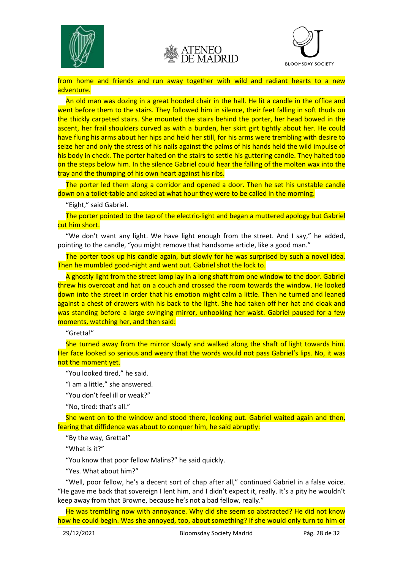

 $\overline{\phantom{a}}$ 





from home and friends and run away together with wild and radiant hearts to a new adventure.

An old man was dozing in a great hooded chair in the hall. He lit a candle in the office and went before them to the stairs. They followed him in silence, their feet falling in soft thuds on the thickly carpeted stairs. She mounted the stairs behind the porter, her head bowed in the ascent, her frail shoulders curved as with a burden, her skirt girt tightly about her. He could have flung his arms about her hips and held her still, for his arms were trembling with desire to seize her and only the stress of his nails against the palms of his hands held the wild impulse of his body in check. The porter halted on the stairs to settle his guttering candle. They halted too on the steps below him. In the silence Gabriel could hear the falling of the molten wax into the tray and the thumping of his own heart against his ribs.

The porter led them along a corridor and opened a door. Then he set his unstable candle down on a toilet-table and asked at what hour they were to be called in the morning.

"Eight," said Gabriel.

The porter pointed to the tap of the electric-light and began a muttered apology but Gabriel cut him short.

"We don't want any light. We have light enough from the street. And I say," he added, pointing to the candle, "you might remove that handsome article, like a good man."

The porter took up his candle again, but slowly for he was surprised by such a novel idea. Then he mumbled good-night and went out. Gabriel shot the lock to.

A ghostly light from the street lamp lay in a long shaft from one window to the door. Gabriel threw his overcoat and hat on a couch and crossed the room towards the window. He looked down into the street in order that his emotion might calm a little. Then he turned and leaned against a chest of drawers with his back to the light. She had taken off her hat and cloak and was standing before a large swinging mirror, unhooking her waist. Gabriel paused for a few moments, watching her, and then said:

#### "Gretta!"

She turned away from the mirror slowly and walked along the shaft of light towards him. Her face looked so serious and weary that the words would not pass Gabriel's lips. No, it was not the moment yet.

"You looked tired," he said.

"I am a little," she answered.

"You don't feel ill or weak?"

"No, tired: that's all."

She went on to the window and stood there, looking out. Gabriel waited again and then, fearing that diffidence was about to conquer him, he said abruptly:

"By the way, Gretta!"

"What is it?"

"You know that poor fellow Malins?" he said quickly.

"Yes. What about him?"

"Well, poor fellow, he's a decent sort of chap after all," continued Gabriel in a false voice. "He gave me back that sovereign I lent him, and I didn't expect it, really. It's a pity he wouldn't keep away from that Browne, because he's not a bad fellow, really."

He was trembling now with annoyance. Why did she seem so abstracted? He did not know how he could begin. Was she annoyed, too, about something? If she would only turn to him or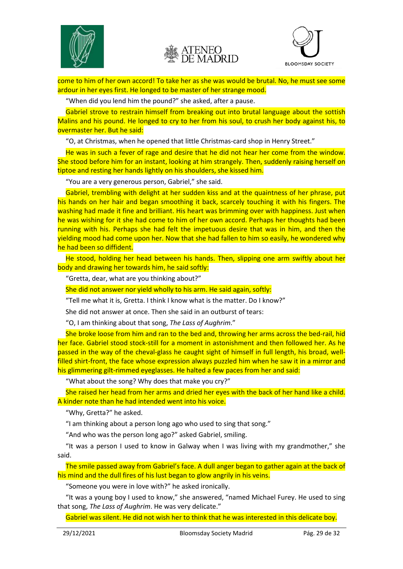





come to him of her own accord! To take her as she was would be brutal. No, he must see some ardour in her eyes first. He longed to be master of her strange mood.

"When did you lend him the pound?" she asked, after a pause.

Gabriel strove to restrain himself from breaking out into brutal language about the sottish Malins and his pound. He longed to cry to her from his soul, to crush her body against his, to overmaster her. But he said:

"O, at Christmas, when he opened that little Christmas-card shop in Henry Street."

He was in such a fever of rage and desire that he did not hear her come from the window. She stood before him for an instant, looking at him strangely. Then, suddenly raising herself on tiptoe and resting her hands lightly on his shoulders, she kissed him.

"You are a very generous person, Gabriel," she said.

Gabriel, trembling with delight at her sudden kiss and at the quaintness of her phrase, put his hands on her hair and began smoothing it back, scarcely touching it with his fingers. The washing had made it fine and brilliant. His heart was brimming over with happiness. Just when he was wishing for it she had come to him of her own accord. Perhaps her thoughts had been running with his. Perhaps she had felt the impetuous desire that was in him, and then the yielding mood had come upon her. Now that she had fallen to him so easily, he wondered why he had been so diffident.

He stood, holding her head between his hands. Then, slipping one arm swiftly about her body and drawing her towards him, he said softly:

"Gretta, dear, what are you thinking about?"

She did not answer nor yield wholly to his arm. He said again, softly:

"Tell me what it is, Gretta. I think I know what is the matter. Do I know?"

She did not answer at once. Then she said in an outburst of tears:

"O, I am thinking about that song, *The Lass of Aughrim*."

She broke loose from him and ran to the bed and, throwing her arms across the bed-rail, hid her face. Gabriel stood stock-still for a moment in astonishment and then followed her. As he passed in the way of the cheval-glass he caught sight of himself in full length, his broad, wellfilled shirt-front, the face whose expression always puzzled him when he saw it in a mirror and his glimmering gilt-rimmed eyeglasses. He halted a few paces from her and said:

"What about the song? Why does that make you cry?"

She raised her head from her arms and dried her eyes with the back of her hand like a child. A kinder note than he had intended went into his voice.

"Why, Gretta?" he asked.

"I am thinking about a person long ago who used to sing that song."

"And who was the person long ago?" asked Gabriel, smiling.

"It was a person I used to know in Galway when I was living with my grandmother," she said.

The smile passed away from Gabriel's face. A dull anger began to gather again at the back of his mind and the dull fires of his lust began to glow angrily in his veins.

"Someone you were in love with?" he asked ironically.

"It was a young boy I used to know," she answered, "named Michael Furey. He used to sing that song, *The Lass of Aughrim*. He was very delicate."

Gabriel was silent. He did not wish her to think that he was interested in this delicate boy.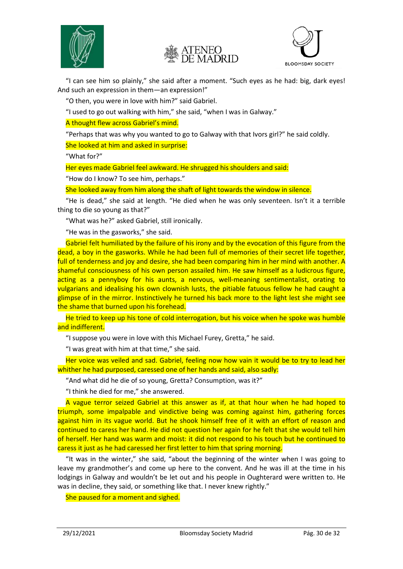





"I can see him so plainly," she said after a moment. "Such eyes as he had: big, dark eyes! And such an expression in them—an expression!"

"O then, you were in love with him?" said Gabriel.

"I used to go out walking with him," she said, "when I was in Galway."

A thought flew across Gabriel's mind.

"Perhaps that was why you wanted to go to Galway with that Ivors girl?" he said coldly.

She looked at him and asked in surprise:

"What for?"

Her eyes made Gabriel feel awkward. He shrugged his shoulders and said:

"How do I know? To see him, perhaps."

She looked away from him along the shaft of light towards the window in silence.

"He is dead," she said at length. "He died when he was only seventeen. Isn't it a terrible thing to die so young as that?"

"What was he?" asked Gabriel, still ironically.

"He was in the gasworks," she said.

Gabriel felt humiliated by the failure of his irony and by the evocation of this figure from the dead, a boy in the gasworks. While he had been full of memories of their secret life together, full of tenderness and joy and desire, she had been comparing him in her mind with another. A shameful consciousness of his own person assailed him. He saw himself as a ludicrous figure, acting as a pennyboy for his aunts, a nervous, well-meaning sentimentalist, orating to vulgarians and idealising his own clownish lusts, the pitiable fatuous fellow he had caught a glimpse of in the mirror. Instinctively he turned his back more to the light lest she might see the shame that burned upon his forehead.

He tried to keep up his tone of cold interrogation, but his voice when he spoke was humble and indifferent.

"I suppose you were in love with this Michael Furey, Gretta," he said.

"I was great with him at that time," she said.

Her voice was veiled and sad. Gabriel, feeling now how vain it would be to try to lead her whither he had purposed, caressed one of her hands and said, also sadly:

"And what did he die of so young, Gretta? Consumption, was it?"

"I think he died for me," she answered.

A vague terror seized Gabriel at this answer as if, at that hour when he had hoped to triumph, some impalpable and vindictive being was coming against him, gathering forces against him in its vague world. But he shook himself free of it with an effort of reason and continued to caress her hand. He did not question her again for he felt that she would tell him of herself. Her hand was warm and moist: it did not respond to his touch but he continued to caress it just as he had caressed her first letter to him that spring morning.

"It was in the winter," she said, "about the beginning of the winter when I was going to leave my grandmother's and come up here to the convent. And he was ill at the time in his lodgings in Galway and wouldn't be let out and his people in Oughterard were written to. He was in decline, they said, or something like that. I never knew rightly."

She paused for a moment and sighed.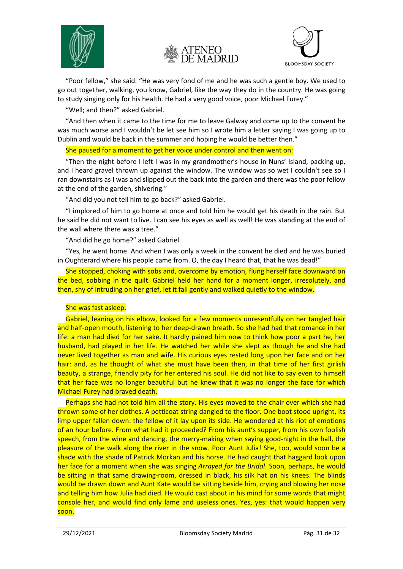





"Poor fellow," she said. "He was very fond of me and he was such a gentle boy. We used to go out together, walking, you know, Gabriel, like the way they do in the country. He was going to study singing only for his health. He had a very good voice, poor Michael Furey."

"Well; and then?" asked Gabriel.

"And then when it came to the time for me to leave Galway and come up to the convent he was much worse and I wouldn't be let see him so I wrote him a letter saying I was going up to Dublin and would be back in the summer and hoping he would be better then."

She paused for a moment to get her voice under control and then went on:

"Then the night before I left I was in my grandmother's house in Nuns' Island, packing up, and I heard gravel thrown up against the window. The window was so wet I couldn't see so I ran downstairs as I was and slipped out the back into the garden and there was the poor fellow at the end of the garden, shivering."

"And did you not tell him to go back?" asked Gabriel.

"I implored of him to go home at once and told him he would get his death in the rain. But he said he did not want to live. I can see his eyes as well as well! He was standing at the end of the wall where there was a tree."

"And did he go home?" asked Gabriel.

"Yes, he went home. And when I was only a week in the convent he died and he was buried in Oughterard where his people came from. O, the day I heard that, that he was dead!"

She stopped, choking with sobs and, overcome by emotion, flung herself face downward on the bed, sobbing in the quilt. Gabriel held her hand for a moment longer, irresolutely, and then, shy of intruding on her grief, let it fall gently and walked quietly to the window.

#### She was fast asleep.

Gabriel, leaning on his elbow, looked for a few moments unresentfully on her tangled hair and half-open mouth, listening to her deep-drawn breath. So she had had that romance in her life: a man had died for her sake. It hardly pained him now to think how poor a part he, her husband, had played in her life. He watched her while she slept as though he and she had never lived together as man and wife. His curious eyes rested long upon her face and on her hair: and, as he thought of what she must have been then, in that time of her first girlish beauty, a strange, friendly pity for her entered his soul. He did not like to say even to himself that her face was no longer beautiful but he knew that it was no longer the face for which Michael Furey had braved death.

Perhaps she had not told him all the story. His eyes moved to the chair over which she had thrown some of her clothes. A petticoat string dangled to the floor. One boot stood upright, its limp upper fallen down: the fellow of it lay upon its side. He wondered at his riot of emotions of an hour before. From what had it proceeded? From his aunt's supper, from his own foolish speech, from the wine and dancing, the merry-making when saying good-night in the hall, the pleasure of the walk along the river in the snow. Poor Aunt Julia! She, too, would soon be a shade with the shade of Patrick Morkan and his horse. He had caught that haggard look upon her face for a moment when she was singing *Arrayed for the Bridal*. Soon, perhaps, he would be sitting in that same drawing-room, dressed in black, his silk hat on his knees. The blinds would be drawn down and Aunt Kate would be sitting beside him, crying and blowing her nose and telling him how Julia had died. He would cast about in his mind for some words that might console her, and would find only lame and useless ones. Yes, yes: that would happen very soon.